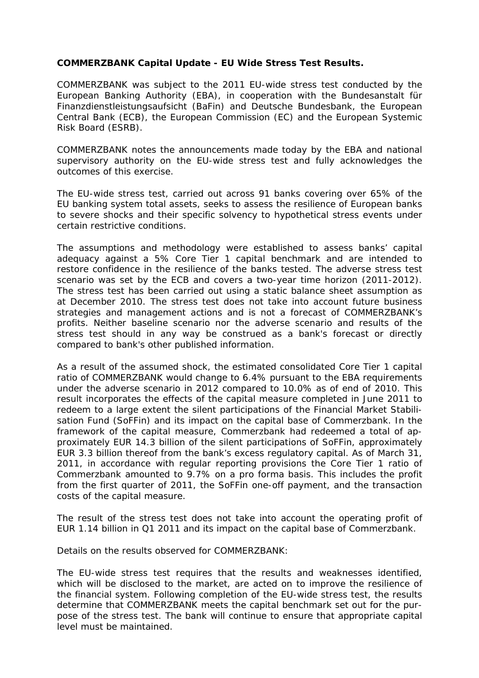## **COMMERZBANK Capital Update - EU Wide Stress Test Results.**

COMMERZBANK was subject to the 2011 EU-wide stress test conducted by the European Banking Authority (EBA), in cooperation with the Bundesanstalt für Finanzdienstleistungsaufsicht (BaFin) and Deutsche Bundesbank, the European Central Bank (ECB), the European Commission (EC) and the European Systemic Risk Board (ESRB).

COMMERZBANK notes the announcements made today by the EBA and national supervisory authority on the EU-wide stress test and fully acknowledges the outcomes of this exercise.

The EU-wide stress test, carried out across 91 banks covering over 65% of the EU banking system total assets, seeks to assess the resilience of European banks to severe shocks and their specific solvency to hypothetical stress events under certain restrictive conditions.

The assumptions and methodology were established to assess banks' capital adequacy against a 5% Core Tier 1 capital benchmark and are intended to restore confidence in the resilience of the banks tested. The adverse stress test scenario was set by the ECB and covers a two-year time horizon (2011-2012). The stress test has been carried out using a static balance sheet assumption as at December 2010. The stress test does not take into account future business strategies and management actions and is not a forecast of COMMERZBANK's profits. Neither baseline scenario nor the adverse scenario and results of the stress test should in any way be construed as a bank's forecast or directly compared to bank's other published information.

As a result of the assumed shock, the estimated consolidated Core Tier 1 capital ratio of COMMERZBANK would change to 6.4% pursuant to the EBA requirements under the adverse scenario in 2012 compared to 10.0% as of end of 2010. This result incorporates the effects of the capital measure completed in June 2011 to redeem to a large extent the silent participations of the Financial Market Stabilisation Fund (SoFFin) and its impact on the capital base of Commerzbank. In the framework of the capital measure, Commerzbank had redeemed a total of approximately EUR 14.3 billion of the silent participations of SoFFin, approximately EUR 3.3 billion thereof from the bank's excess regulatory capital. As of March 31, 2011, in accordance with regular reporting provisions the Core Tier 1 ratio of Commerzbank amounted to 9.7% on a pro forma basis. This includes the profit from the first quarter of 2011, the SoFFin one-off payment, and the transaction costs of the capital measure.

The result of the stress test does not take into account the operating profit of EUR 1.14 billion in Q1 2011 and its impact on the capital base of Commerzbank.

Details on the results observed for COMMERZBANK:

The EU-wide stress test requires that the results and weaknesses identified, which will be disclosed to the market, are acted on to improve the resilience of the financial system. Following completion of the EU-wide stress test, the results determine that COMMERZBANK meets the capital benchmark set out for the purpose of the stress test. The bank will continue to ensure that appropriate capital level must be maintained.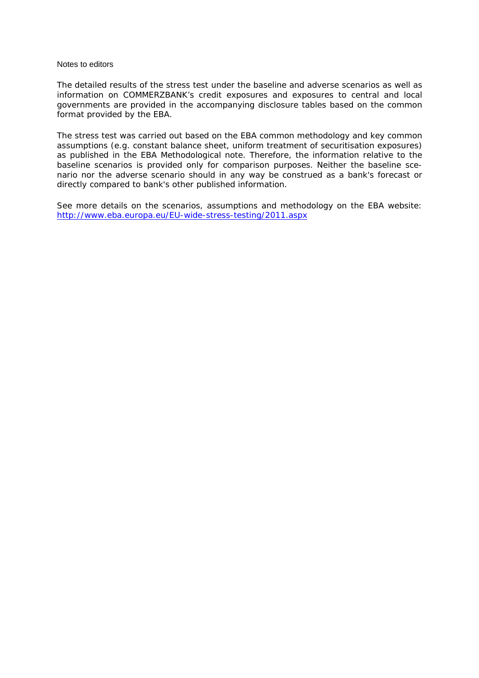## Notes to editors

*The detailed results of the stress test under the baseline and adverse scenarios as well as information on COMMERZBANK's credit exposures and exposures to central and local governments are provided in the accompanying disclosure tables based on the common format provided by the EBA.* 

*The stress test was carried out based on the EBA common methodology and key common assumptions (e.g. constant balance sheet, uniform treatment of securitisation exposures) as published in the EBA Methodological note. Therefore, the information relative to the baseline scenarios is provided only for comparison purposes. Neither the baseline scenario nor the adverse scenario should in any way be construed as a bank's forecast or directly compared to bank's other published information.* 

*See more details on the scenarios, assumptions and methodology on the EBA website: <http://www.eba.europa.eu/EU-wide-stress-testing/2011.aspx>*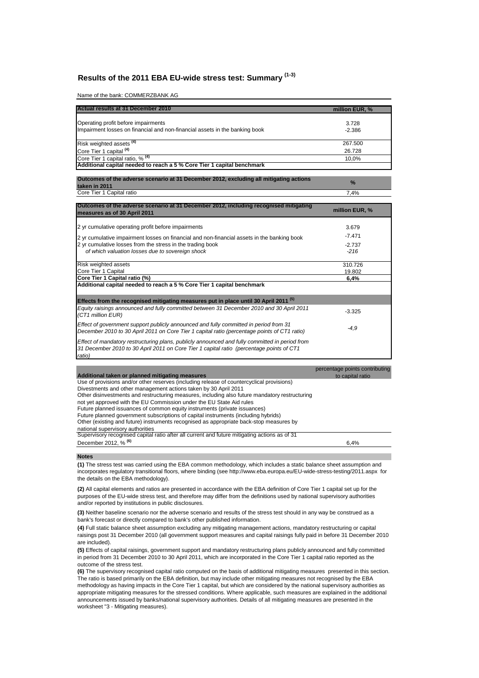## **Results of the 2011 EBA EU-wide stress test: Summary (1-3)**

Name of the bank: COMMERZBANK AG

| Actual results at 31 December 2010                                                                      | million EUR, % |
|---------------------------------------------------------------------------------------------------------|----------------|
| Operating profit before impairments                                                                     | 3.728          |
| Impairment losses on financial and non-financial assets in the banking book                             | $-2.386$       |
| Risk weighted assets <sup>(4)</sup>                                                                     | 267.500        |
| Core Tier 1 capital <sup>(4)</sup>                                                                      | 26.728         |
| Core Tier 1 capital ratio, % <sup>(4)</sup>                                                             | 10,0%          |
| Additional capital needed to reach a 5 % Core Tier 1 capital benchmark                                  |                |
|                                                                                                         |                |
| Outcomes of the adverse scenario at 31 December 2012, excluding all mitigating actions<br>taken in 2011 | $\frac{9}{6}$  |

| . .<br>Core<br>Capital ratio<br>Tier<br>- | 7.4% |
|-------------------------------------------|------|

| Outcomes of the adverse scenario at 31 December 2012, including recognised mitigating<br>measures as of 30 April 2011                                                                                | million EUR, % |
|------------------------------------------------------------------------------------------------------------------------------------------------------------------------------------------------------|----------------|
| 2 yr cumulative operating profit before impairments                                                                                                                                                  | 3.679          |
| 2 yr cumulative impairment losses on financial and non-financial assets in the banking book                                                                                                          | $-7.471$       |
| 2 yr cumulative losses from the stress in the trading book                                                                                                                                           | $-2.737$       |
| of which valuation losses due to sovereign shock                                                                                                                                                     | $-216$         |
| Risk weighted assets                                                                                                                                                                                 | 310.726        |
| Core Tier 1 Capital                                                                                                                                                                                  | 19.802         |
| Core Tier 1 Capital ratio (%)                                                                                                                                                                        | 6,4%           |
| Additional capital needed to reach a 5 % Core Tier 1 capital benchmark                                                                                                                               |                |
| Effects from the recognised mitigating measures put in place until 30 April 2011 <sup>(5)</sup>                                                                                                      |                |
| Equity raisings announced and fully committed between 31 December 2010 and 30 April 2011<br>(CT1 million EUR)                                                                                        | $-3.325$       |
| Effect of government support publicly announced and fully committed in period from 31<br>December 2010 to 30 April 2011 on Core Tier 1 capital ratio (percentage points of CT1 ratio)                | $-4.9$         |
| Effect of mandatory restructuring plans, publicly announced and fully committed in period from<br>31 December 2010 to 30 April 2011 on Core Tier 1 capital ratio (percentage points of CT1<br>ratio) |                |

|                                                                                                | percentage points contributing |
|------------------------------------------------------------------------------------------------|--------------------------------|
| Additional taken or planned mitigating measures                                                | to capital ratio               |
| Use of provisions and/or other reserves (including release of countercyclical provisions)      |                                |
| Divestments and other management actions taken by 30 April 2011                                |                                |
| Other disinvestments and restructuring measures, including also future mandatory restructuring |                                |
| not yet approved with the EU Commission under the EU State Aid rules                           |                                |
| Future planned issuances of common equity instruments (private issuances)                      |                                |
| Future planned government subscriptions of capital instruments (including hybrids)             |                                |
| Other (existing and future) instruments recognised as appropriate back-stop measures by        |                                |
| national supervisory authorities                                                               |                                |
| Supervisory recognised capital ratio after all current and future mitigating actions as of 31  |                                |
| December 2012, % <sup>(6)</sup>                                                                | 6,4%                           |
|                                                                                                |                                |

**Notes**

**(1)** The stress test was carried using the EBA common methodology, which includes a static balance sheet assumption and incorporates regulatory transitional floors, where binding (see http://www.eba.europa.eu/EU-wide-stress-testing/2011.aspx for the details on the EBA methodology).

**(2)** All capital elements and ratios are presented in accordance with the EBA definition of Core Tier 1 capital set up for the purposes of the EU-wide stress test, and therefore may differ from the definitions used by national supervisory authorities and/or reported by institutions in public disclosures.

**(3)** Neither baseline scenario nor the adverse scenario and results of the stress test should in any way be construed as a bank's forecast or directly compared to bank's other published information.

**(4)** Full static balance sheet assumption excluding any mitigating management actions, mandatory restructuring or capital raisings post 31 December 2010 (all government support measures and capital raisings fully paid in before 31 December 2010 are included).

**(5)** Effects of capital raisings, government support and mandatory restructuring plans publicly announced and fully committed in period from 31 December 2010 to 30 April 2011, which are incorporated in the Core Tier 1 capital ratio reported as the outcome of the stress test.

**(6)** The supervisory recognised capital ratio computed on the basis of additional mitigating measures presented in this section. The ratio is based primarily on the EBA definition, but may include other mitigating measures not recognised by the EBA methodology as having impacts in the Core Tier 1 capital, but which are considered by the national supervisory authorities as appropriate mitigating measures for the stressed conditions. Where applicable, such measures are explained in the additional announcements issued by banks/national supervisory authorities. Details of all mitigating measures are presented in the worksheet "3 - Mitigating measures).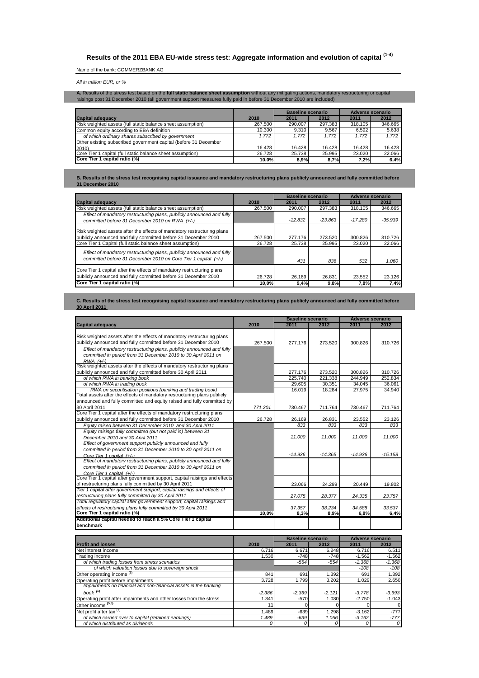# **Results of the 2011 EBA EU-wide stress test: Aggregate information and evolution of capital (1-4)**

## Name of the bank: COMMERZBANK AG

All in million EUR, or %

**A.** Results of the stress test based on the **full static balance sheet assumption** without any mitigating actions, mandatory restructuring or capital<br>raisings post 31 December 2010 (all government support measures fully p

|                                                                  |          | Baseline scenario |         | <b>Adverse scenario</b> |         |
|------------------------------------------------------------------|----------|-------------------|---------|-------------------------|---------|
| <b>Capital adequacy</b>                                          | 2010     | 2011              | 2012    | 2011                    | 2012    |
| Risk weighted assets (full static balance sheet assumption)      | 267.500  | 290.007           | 297.383 | 318.105                 | 346.665 |
| Common equity according to EBA definition                        | 10.300   | 9.310             | 9.567   | 6.592                   | 5.638   |
| of which ordinary shares subscribed by government                | 1.772    | 1.772             | 1.772   | 1.772                   | 1.772   |
| Other existing subscribed government capital (before 31 December |          |                   |         |                         |         |
| 2010)                                                            | 16.428   | 16.428            | 16.428  | 16.428                  | 16.428  |
| Core Tier 1 capital (full static balance sheet assumption)       | 26.728   | 25.738            | 25.995  | 23.020                  | 22.066  |
| Core Tier 1 capital ratio (%)                                    | $10.0\%$ | 8.9%              | 8.7%    | 7.2%                    | 6.4%    |

**B. Results of the stress test recognising capital issuance and mandatory restructuring plans publicly announced and fully committed before 31 December 2010**

|                                                                                                                                                                                                         |                   | <b>Baseline scenario</b> |                   |                   | Adverse scenario  |  |
|---------------------------------------------------------------------------------------------------------------------------------------------------------------------------------------------------------|-------------------|--------------------------|-------------------|-------------------|-------------------|--|
| <b>Capital adequacy</b>                                                                                                                                                                                 | 2010              | 2011                     | 2012              | 2011              | 2012              |  |
| Risk weighted assets (full static balance sheet assumption)                                                                                                                                             | 267.500           | 290.007                  | 297.383           | 318.105           | 346.665           |  |
| Effect of mandatory restructuring plans, publicly announced and fully                                                                                                                                   |                   |                          |                   |                   |                   |  |
| committed before 31 December 2010 on RWA (+/-)                                                                                                                                                          |                   | $-12.832$                | $-23.863$         | $-17.280$         | $-35.939$         |  |
| Risk weighted assets after the effects of mandatory restructuring plans<br>publicly announced and fully committed before 31 December 2010<br>Core Tier 1 Capital (full static balance sheet assumption) | 267.500<br>26.728 | 277.176<br>25.738        | 273.520<br>25.995 | 300.826<br>23.020 | 310.726<br>22.066 |  |
| Effect of mandatory restructuring plans, publicly announced and fully<br>committed before 31 December 2010 on Core Tier 1 capital (+/-)                                                                 |                   | 431                      | 836               | 532               | 1.060             |  |
| Core Tier 1 capital after the effects of mandatory restructuring plans<br>publicly announced and fully committed before 31 December 2010<br>Core Tier 1 capital ratio (%)                               | 26.728            | 26.169                   | 26.831            | 23.552            | 23.126            |  |
|                                                                                                                                                                                                         | 10.0%l            | 9,4%                     | 9,8%              | 7,8%              | 7,4%              |  |

### **C. Results of the stress test recognising capital issuance and mandatory restructuring plans publicly announced and fully committed before 30 April 2011**

|                                                                            |         | <b>Baseline scenario</b> |           |           | <b>Adverse scenario</b> |  |
|----------------------------------------------------------------------------|---------|--------------------------|-----------|-----------|-------------------------|--|
| <b>Capital adequacy</b>                                                    | 2010    | 2011                     | 2012      | 2011      | 2012                    |  |
|                                                                            |         |                          |           |           |                         |  |
| Risk weighted assets after the effects of mandatory restructuring plans    |         |                          |           |           |                         |  |
| publicly announced and fully committed before 31 December 2010             | 267.500 | 277.176                  | 273.520   | 300.826   | 310.726                 |  |
| Effect of mandatory restructuring plans, publicly announced and fully      |         |                          |           |           |                         |  |
| committed in period from 31 December 2010 to 30 April 2011 on              |         |                          |           |           |                         |  |
| $RWA$ $(+/-)$                                                              |         |                          |           |           |                         |  |
| Risk weighted assets after the effects of mandatory restructuring plans    |         |                          |           |           |                         |  |
| publicly announced and fully committed before 30 April 2011                |         | 277.176                  | 273.520   | 300.826   | 310.726                 |  |
| of which RWA in banking book                                               |         | 225.740                  | 221.338   | 244.949   | 252.834                 |  |
| of which RWA in trading book                                               |         | 29.605                   | 30.351    | 34.045    | 36.061                  |  |
| RWA on securitisation positions (banking and trading book)                 |         | 16.019                   | 18.284    | 27.975    | 34.940                  |  |
| Total assets after the effects of mandatory restructuring plans publicly   |         |                          |           |           |                         |  |
| announced and fully committed and equity raised and fully committed by     |         |                          |           |           |                         |  |
| 30 April 2011                                                              | 771.201 | 730.467                  | 711.764   | 730.467   | 711.764                 |  |
| Core Tier 1 capital after the effects of mandatory restructuring plans     |         |                          |           |           |                         |  |
| publicly announced and fully committed before 31 December 2010             | 26.728  | 26.169                   | 26.831    | 23.552    | 23.126                  |  |
| Equity raised between 31 December 2010 and 30 April 2011                   |         | 833                      | 833       | 833       | 833                     |  |
| Equity raisings fully committed (but not paid in) between 31               |         |                          |           |           |                         |  |
| December 2010 and 30 April 2011                                            |         | 11.000                   | 11.000    | 11.000    | 11.000                  |  |
| Effect of government support publicly announced and fully                  |         |                          |           |           |                         |  |
| committed in period from 31 December 2010 to 30 April 2011 on              |         |                          |           |           |                         |  |
| Core Tier 1 capital (+/-)                                                  |         | $-14.936$                | $-14.365$ | $-14.936$ | $-15.158$               |  |
| Effect of mandatory restructuring plans, publicly announced and fully      |         |                          |           |           |                         |  |
| committed in period from 31 December 2010 to 30 April 2011 on              |         |                          |           |           |                         |  |
| Core Tier 1 capital (+/-)                                                  |         |                          |           |           |                         |  |
| Core Tier 1 capital after government support, capital raisings and effects |         |                          |           |           |                         |  |
| of restructuring plans fully committed by 30 April 2011                    |         | 23.066                   | 24.299    | 20.449    | 19.802                  |  |
| Tier 1 capital after government support, capital raisings and effects of   |         |                          |           |           |                         |  |
| restructuring plans fully committed by 30 April 2011                       |         | 27.075                   | 28.377    | 24.335    | 23.757                  |  |
| Total regulatory capital after government support, capital raisings and    |         |                          |           |           |                         |  |
| effects of restructuring plans fully committed by 30 April 2011            |         | 37.357                   | 38.234    | 34.588    | 33.537                  |  |
| Core Tier 1 capital ratio (%)                                              | 10,0%   | 8,3%                     | 8,9%      | 6,8%      | 6,4%                    |  |
| Additional capital needed to reach a 5% Core Tier 1 capital                |         |                          |           |           |                         |  |
| benchmark                                                                  |         |                          |           |           |                         |  |

|                                                                     |          | <b>Baseline scenario</b> |          |          | <b>Adverse scenario</b> |
|---------------------------------------------------------------------|----------|--------------------------|----------|----------|-------------------------|
| <b>Profit and losses</b>                                            | 2010     | 2011                     | 2012     | 2011     | 2012                    |
| Net interest income                                                 | 6.716    | 6.671                    | 6.248    | 6.716    | 6.511                   |
| <b>Trading income</b>                                               | 1.530    | $-748$                   | $-748$   | $-1.562$ | $-1.562$                |
| of which trading losses from stress scenarios                       |          | $-554$                   | $-554$   | $-1.368$ | $-1.368$                |
| of which valuation losses due to sovereign shock                    |          |                          |          | $-108$   | $-108$                  |
| Other operating income (5)                                          | 841      | 691                      | 1.392    | 691      | 1.392                   |
| Operating profit before impairments                                 | 3.728    | 1.799                    | 3.202    | 1.029    | 2.650                   |
| Impairments on financial and non-financial assets in the banking    |          |                          |          |          |                         |
| book $^{(6)}$                                                       | $-2.386$ | $-2.369$                 | $-2.121$ | $-3.778$ | $-3.693$                |
| Operating profit after impairments and other losses from the stress | 1.341    | $-570$                   | 1.080    | $-2.750$ | $-1.043$                |
| Other income <sup>(5,6)</sup>                                       |          |                          |          |          | 0                       |
| Net profit after tax $(7)$                                          | 1.489    | $-639$                   | 1.298    | $-3.162$ | $-777$                  |
| of which carried over to capital (retained earnings)                | 1.489    | $-639$                   | 1.056    | $-3.162$ | $-777$                  |
| of which distributed as dividends                                   |          |                          |          |          | $\sigma$                |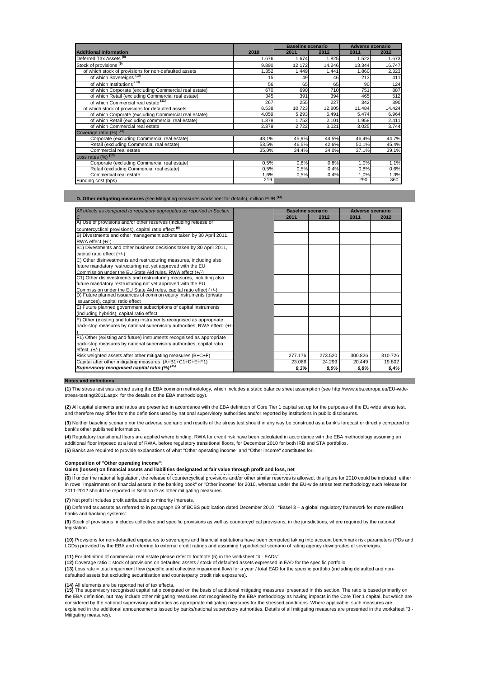|                                                       |       | <b>Baseline scenario</b> |        |        | <b>Adverse scenario</b> |
|-------------------------------------------------------|-------|--------------------------|--------|--------|-------------------------|
| <b>Additional information</b>                         | 2010  | 2011                     | 2012   | 2011   | 2012                    |
| Deferred Tax Assets <sup>(8)</sup>                    | 1.676 | 1.674                    | 1.825  | 1.522  | 1.673                   |
| Stock of provisions <sup>(9)</sup>                    | 9.890 | 12.172                   | 14.246 | 13.344 | 16.747                  |
| of which stock of provisions for non-defaulted assets | 1.352 | 1.449                    | 1.441  | 1.860  | 2.323                   |
| of which Sovereigns <sup>(10)</sup>                   | 15    | 49                       | 46     | 213    | 411                     |
| of which Institutions (10)                            | 56    | 65                       | 65     | 90     | 124                     |
| of which Corporate (excluding Commercial real estate) | 670   | 690                      | 710    | 751    | 887                     |
| of which Retail (excluding Commercial real estate)    | 345   | 391                      | 394    | 465    | 512                     |
| of which Commercial real estate <sup>(11)</sup>       | 267   | 255                      | 227    | 342    | 390                     |
| of which stock of provisions for defaulted assets     | 8.538 | 10.723                   | 12.805 | 11.484 | 14.424                  |
| of which Corporate (excluding Commercial real estate) | 4.059 | 5.293                    | 6.491  | 5.474  | 6.964                   |
| of which Retail (excluding commercial real estate)    | 1.378 | 1.752                    | 2.101  | 1.958  | 2.411                   |
| of which Commercial real estate                       | 2.379 | 2.722                    | 3.021  | 3.025  | 3.744                   |
| Coverage ratio (%) (12)                               |       |                          |        |        |                         |
| Corporate (excluding Commercial real estate)          | 48,1% | 45,9%                    | 44,5%  | 46,4%  | 44,7%                   |
| Retail (excluding Commercial real estate)             | 53,5% | 46,5%                    | 42,6%  | 50,1%  | 45,4%                   |
| Commercial real estate                                | 35,0% | 34,4%                    | 34,0%  | 37,1%  | 39,1%                   |
| Loss rates $(\%)$ <sup>(13)</sup>                     |       |                          |        |        |                         |
| Corporate (excluding Commercial real estate)          | 0.5%  | 0,8%                     | 0,8%   | 1,0%   | 1,1%                    |
| Retail (excluding Commercial real estate)             | 0.5%  | 0,5%                     | 0,4%   | 0,8%   | 0,6%                    |
| Commercial real estate                                | 1,6%  | 0,5%                     | 0,4%   | 1,0%   | 1,3%                    |
| Funding cost (bps)                                    | 219   |                          |        | 290    | 360                     |

**D. Other mitigating measures** (see Mitigating measures worksheet for details), million EUR **(14)**

| All effects as compared to regulatory aggregates as reported in Section | <b>Baseline scenario</b> |         |         | <b>Adverse scenario</b> |
|-------------------------------------------------------------------------|--------------------------|---------|---------|-------------------------|
| C                                                                       | 2011                     | 2012    | 2011    | 2012                    |
| A) Use of provisions and/or other reserves (including release of        |                          |         |         |                         |
| countercyclical provisions), capital ratio effect <sup>(6)</sup>        |                          |         |         |                         |
| B) Divestments and other management actions taken by 30 April 2011,     |                          |         |         |                         |
| RWA effect (+/-)                                                        |                          |         |         |                         |
| B1) Divestments and other business decisions taken by 30 April 2011,    |                          |         |         |                         |
| capital ratio effect (+/-)                                              |                          |         |         |                         |
| C) Other disinvestments and restructuring measures, including also      |                          |         |         |                         |
| future mandatory restructuring not yet approved with the EU             |                          |         |         |                         |
| Commission under the EU State Aid rules, RWA effect (+/-)               |                          |         |         |                         |
| C1) Other disinvestments and restructuring measures, including also     |                          |         |         |                         |
| future mandatory restructuring not yet approved with the EU             |                          |         |         |                         |
| Commission under the EU State Aid rules, capital ratio effect (+/-)     |                          |         |         |                         |
| D) Future planned issuances of common equity instruments (private       |                          |         |         |                         |
| issuances), capital ratio effect                                        |                          |         |         |                         |
| E) Future planned government subscriptions of capital instruments       |                          |         |         |                         |
| (including hybrids), capital ratio effect                               |                          |         |         |                         |
| F) Other (existing and future) instruments recognised as appropriate    |                          |         |         |                         |
| back-stop measures by national supervisory authorities, RWA effect (+/- |                          |         |         |                         |
|                                                                         |                          |         |         |                         |
| F1) Other (existing and future) instruments recognised as appropriate   |                          |         |         |                         |
| back-stop measures by national supervisory authorities, capital ratio   |                          |         |         |                         |
| $effect$ $(+/-)$                                                        |                          |         |         |                         |
| Risk weighted assets after other mitigating measures (B+C+F)            | 277.176                  | 273.520 | 300.826 | 310.726                 |
| Capital after other mitigating measures (A+B1+C1+D+E+F1)                | 23.066                   | 24.299  | 20.449  | 19.802                  |
| Supervisory recognised capital ratio (%) <sup>(15)</sup>                | 8.3%                     | 8.9%    | 6.8%    | 6.4%                    |

#### **Notes and definitions**

**(1)** The stress test was carried using the EBA common methodology, which includes a static balance sheet assumption (see http://www.eba.europa.eu/EU-widestress-testing/2011.aspx for the details on the EBA methodology).

**(2)** All capital elements and ratios are presented in accordance with the EBA definition of Core Tier 1 capital set up for the purposes of the EU-wide stress test, and therefore may differ from the definitions used by national supervisory authorities and/or reported by institutions in public disclosures.

**(3)** Neither baseline scenario nor the adverse scenario and results of the stress test should in any way be construed as a bank's forecast or directly compared to bank's other published information.

**(5)** Banks are required to provide explanations of what "Other operating income" and "Other income" constitutes for. **(4)** Regulatory transitional floors are applied where binding. RWA for credit risk have been calculated in accordance with the EBA methodology assuming an additional floor imposed at a level of RWA, before regulatory transitional floors, for December 2010 for both IRB and STA portfolios.

## **Composition of "Other operating income":**

**Gains (losses) on financial assets and liabilities designated at fair value through profit and loss, net**

-<br>(6) If under the national legislation, the release of countercyclical provisions and/or other similar reserves is allowed, this figure for 2010 could be included either in rows "Impairments on financial assets in the banking book" or "Other income" for 2010, whereas under the EU-wide stress test methodology such release for 2011-2012 should be reported in Section D as other mitigating measures.

**(7)** Net profit includes profit attributable to minority interests.

**(8)** Deferred tax assets as referred to in paragraph 69 of BCBS publication dated December 2010 : "Basel 3 – a global regulatory framework for more resilient banks and banking systems".

**(9)** Stock of provisions includes collective and specific provisions as well as countercyclical provisions, in the jurisdictions, where required by the national legislation

**(10)** Provisions for non-defaulted exposures to sovereigns and financial institutions have been computed taking into account benchmark risk parameters (PDs and LGDs) provided by the EBA and referring to external credit ratings and assuming hypothetical scenario of rating agency downgrades of sovereigns.

**(11)** For definition of commercial real estate please refer to footnote (5) in the worksheet "4 - EADs".

**(12)** Coverage ratio = stock of provisions on defaulted assets / stock of defaulted assets expressed in EAD for the specific portfolio.

**(13)** Loss rate = total impairment flow (specific and collective impairment flow) for a year / total EAD for the specific portfolio (including defaulted and nondefaulted assets but excluding securitisation and counterparty credit risk exposures).

**(14)** All elements are be reported net of tax effects.<br>**(15)** The supervisory recognised capital ratio computed on the basis of additional mitigating measures presented in this section. The ratio is based primarily on the EBA definition, but may include other mitigating measures not recognised by the EBA methodology as having impacts in the Core Tier 1 capital, but which are considered by the national supervisory authorities as appropriate mitigating measures for the stressed conditions. Where applicable, such measures are explained in the additional announcements issued by banks/national supervisory authorities. Details of all mitigating measures are presented in the worksheet "3 -Mitigating measures).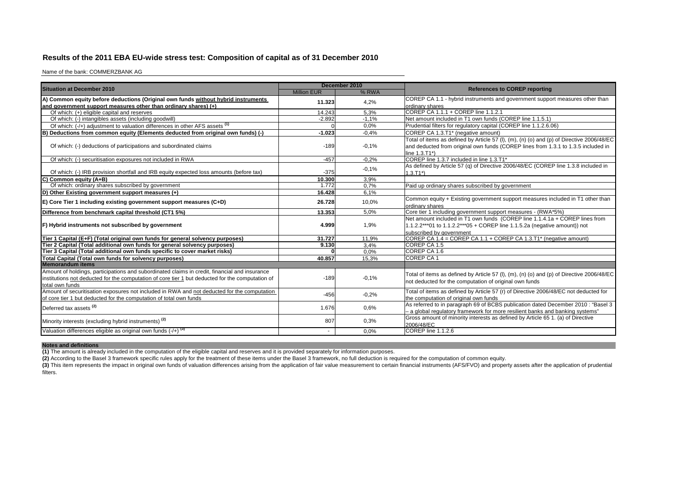## **Results of the 2011 EBA EU-wide stress test: Composition of capital as of 31 December 2010**

Name of the bank: COMMERZBANK AG

| <b>Million EUR</b><br>% RWA<br>A) Common equity before deductions (Original own funds without hybrid instruments<br>COREP CA 1.1 - hybrid instruments and government support measures other than<br>4.2%<br>11.323<br>and government support measures other than ordinary shares) (+)<br>ordinary shares<br>COREP CA 1.1.1 + COREP line 1.1.2.1<br>Of which: (+) eligible capital and reserves<br>14.243<br>5,3%<br>$-1.1%$<br>Net amount included in T1 own funds (COREP line 1.1.5.1)<br>Of which: (-) intangibles assets (including goodwill)<br>$-2.892$<br>Of which: (-/+) adjustment to valuation differences in other AFS assets (1)<br>0.0%<br>Prudential filters for regulatory capital (COREP line 1.1.2.6.06)<br>COREP CA 1.3.T1* (negative amount)<br>lΒ<br>Deductions from common equity (Elements deducted from original own funds) (-)<br>$-1.023$<br>$-0.4%$<br>Total of items as defined by Article 57 (I), (m), (n) (o) and (p) of Directive 2006/48/EC<br>Of which: (-) deductions of participations and subordinated claims<br>$-0.1%$<br>$-189$<br>and deducted from original own funds (COREP lines from 1.3.1 to 1.3.5 included in<br>line $1.3 \text{.} T1^*$ )<br>COREP line 1.3.7 included in line 1.3.T1*<br>Of which: (-) securitisation exposures not included in RWA<br>$-457$<br>$-0,2%$<br>As defined by Article 57 (q) of Directive 2006/48/EC (COREP line 1.3.8 included in<br>$-0.1%$<br>Of which: (-) IRB provision shortfall and IRB equity expected loss amounts (before tax)<br>$-375$<br>$1.3.T1*)$<br>C)<br><b>Common equity (A+B)</b><br>3.9%<br>10.300<br>Of which: ordinary shares subscribed by government<br>1.772<br>Paid up ordinary shares subscribed by government<br>0.7%<br>6,1%<br>D) Other Existing government support measures (+)<br>16.428<br>Common equity + Existing government support measures included in T1 other than<br>$E$ ) Core Tier 1 including existing government support measures (C+D)<br>26.728<br>10,0%<br>ordinary shares<br>Core tier 1 including government support measures - (RWA*5%)<br>Difference from benchmark capital threshold (CT1 5%)<br>13.353<br>5.0%<br>Net amount included in T1 own funds (COREP line 1.1.4.1a + COREP lines from<br>F) Hybrid instruments not subscribed by government<br>4.999<br>1,9%<br>1.1.2.2***01 to 1.1.2.2***05 + COREP line 1.1.5.2a (negative amount)) not<br>subscribed by government<br>COREP CA 1.4 = COREP CA 1.1 + COREP CA 1.3.T1* (negative amount)<br>11.9%<br>Tier 1 Capital (E+F) (Total original own funds for general solvency purposes)<br>31.727<br>Tier 2 Capital (Total additional own funds for general solvency purposes)<br>COREP CA 1.5<br>9.130<br>3.4%<br>Tier 3 Capital (Total additional own funds specific to cover market risks)<br>COREP CA 1.6<br>0.0%<br><b>COREP CA1</b><br>Total Capital (Total own funds for solvency purposes)<br>40.857<br>15.3%<br><b>Memorandum items</b><br>Amount of holdings, participations and subordinated claims in credit, financial and insurance<br>Total of items as defined by Article 57 (I), (m), (n) (o) and (p) of Directive 2006/48/EC<br>institutions not deducted for the computation of core tier 1 but deducted for the computation of<br>$-0.1%$<br>$-189$<br>not deducted for the computation of original own funds<br>total own funds<br>Amount of securitisation exposures not included in RWA and not deducted for the computation<br>Total of items as defined by Article 57 (r) of Directive 2006/48/EC not deducted for<br>$-456$<br>$-0.2%$<br>of core tier 1 but deducted for the computation of total own funds<br>the computation of original own funds<br>As referred to in paragraph 69 of BCBS publication dated December 2010 : "Basel 3<br>Deferred tax assets <sup>(2)</sup><br>0.6%<br>1.676<br>- a global regulatory framework for more resilient banks and banking systems"<br>Gross amount of minority interests as defined by Article 65 1. (a) of Directive<br>0.3%<br>Minority interests (excluding hybrid instruments) <sup>(2)</sup><br>807<br>2006/48/EC<br>Valuation differences eligible as original own funds $(-/+)$ <sup>(3)</sup><br>COREP line 1.1.2.6<br>0.0% | <b>Situation at December 2010</b> | December 2010 |                                      |  |  |
|----------------------------------------------------------------------------------------------------------------------------------------------------------------------------------------------------------------------------------------------------------------------------------------------------------------------------------------------------------------------------------------------------------------------------------------------------------------------------------------------------------------------------------------------------------------------------------------------------------------------------------------------------------------------------------------------------------------------------------------------------------------------------------------------------------------------------------------------------------------------------------------------------------------------------------------------------------------------------------------------------------------------------------------------------------------------------------------------------------------------------------------------------------------------------------------------------------------------------------------------------------------------------------------------------------------------------------------------------------------------------------------------------------------------------------------------------------------------------------------------------------------------------------------------------------------------------------------------------------------------------------------------------------------------------------------------------------------------------------------------------------------------------------------------------------------------------------------------------------------------------------------------------------------------------------------------------------------------------------------------------------------------------------------------------------------------------------------------------------------------------------------------------------------------------------------------------------------------------------------------------------------------------------------------------------------------------------------------------------------------------------------------------------------------------------------------------------------------------------------------------------------------------------------------------------------------------------------------------------------------------------------------------------------------------------------------------------------------------------------------------------------------------------------------------------------------------------------------------------------------------------------------------------------------------------------------------------------------------------------------------------------------------------------------------------------------------------------------------------------------------------------------------------------------------------------------------------------------------------------------------------------------------------------------------------------------------------------------------------------------------------------------------------------------------------------------------------------------------------------------------------------------------------------------------------------------------------------------------------------------------------------------------------------------------------------------------------------------------------------------------------------------------------------------------------------------------------------------------------------------------------------------------------------------------------------------------------------------------------------------------------------------------------------------------------------------------------------------------------------------------------------------------------------------------------------------------|-----------------------------------|---------------|--------------------------------------|--|--|
|                                                                                                                                                                                                                                                                                                                                                                                                                                                                                                                                                                                                                                                                                                                                                                                                                                                                                                                                                                                                                                                                                                                                                                                                                                                                                                                                                                                                                                                                                                                                                                                                                                                                                                                                                                                                                                                                                                                                                                                                                                                                                                                                                                                                                                                                                                                                                                                                                                                                                                                                                                                                                                                                                                                                                                                                                                                                                                                                                                                                                                                                                                                                                                                                                                                                                                                                                                                                                                                                                                                                                                                                                                                                                                                                                                                                                                                                                                                                                                                                                                                                                                                                                                                                    |                                   |               | <b>References to COREP reporting</b> |  |  |
|                                                                                                                                                                                                                                                                                                                                                                                                                                                                                                                                                                                                                                                                                                                                                                                                                                                                                                                                                                                                                                                                                                                                                                                                                                                                                                                                                                                                                                                                                                                                                                                                                                                                                                                                                                                                                                                                                                                                                                                                                                                                                                                                                                                                                                                                                                                                                                                                                                                                                                                                                                                                                                                                                                                                                                                                                                                                                                                                                                                                                                                                                                                                                                                                                                                                                                                                                                                                                                                                                                                                                                                                                                                                                                                                                                                                                                                                                                                                                                                                                                                                                                                                                                                                    |                                   |               |                                      |  |  |
|                                                                                                                                                                                                                                                                                                                                                                                                                                                                                                                                                                                                                                                                                                                                                                                                                                                                                                                                                                                                                                                                                                                                                                                                                                                                                                                                                                                                                                                                                                                                                                                                                                                                                                                                                                                                                                                                                                                                                                                                                                                                                                                                                                                                                                                                                                                                                                                                                                                                                                                                                                                                                                                                                                                                                                                                                                                                                                                                                                                                                                                                                                                                                                                                                                                                                                                                                                                                                                                                                                                                                                                                                                                                                                                                                                                                                                                                                                                                                                                                                                                                                                                                                                                                    |                                   |               |                                      |  |  |
|                                                                                                                                                                                                                                                                                                                                                                                                                                                                                                                                                                                                                                                                                                                                                                                                                                                                                                                                                                                                                                                                                                                                                                                                                                                                                                                                                                                                                                                                                                                                                                                                                                                                                                                                                                                                                                                                                                                                                                                                                                                                                                                                                                                                                                                                                                                                                                                                                                                                                                                                                                                                                                                                                                                                                                                                                                                                                                                                                                                                                                                                                                                                                                                                                                                                                                                                                                                                                                                                                                                                                                                                                                                                                                                                                                                                                                                                                                                                                                                                                                                                                                                                                                                                    |                                   |               |                                      |  |  |
|                                                                                                                                                                                                                                                                                                                                                                                                                                                                                                                                                                                                                                                                                                                                                                                                                                                                                                                                                                                                                                                                                                                                                                                                                                                                                                                                                                                                                                                                                                                                                                                                                                                                                                                                                                                                                                                                                                                                                                                                                                                                                                                                                                                                                                                                                                                                                                                                                                                                                                                                                                                                                                                                                                                                                                                                                                                                                                                                                                                                                                                                                                                                                                                                                                                                                                                                                                                                                                                                                                                                                                                                                                                                                                                                                                                                                                                                                                                                                                                                                                                                                                                                                                                                    |                                   |               |                                      |  |  |
|                                                                                                                                                                                                                                                                                                                                                                                                                                                                                                                                                                                                                                                                                                                                                                                                                                                                                                                                                                                                                                                                                                                                                                                                                                                                                                                                                                                                                                                                                                                                                                                                                                                                                                                                                                                                                                                                                                                                                                                                                                                                                                                                                                                                                                                                                                                                                                                                                                                                                                                                                                                                                                                                                                                                                                                                                                                                                                                                                                                                                                                                                                                                                                                                                                                                                                                                                                                                                                                                                                                                                                                                                                                                                                                                                                                                                                                                                                                                                                                                                                                                                                                                                                                                    |                                   |               |                                      |  |  |
|                                                                                                                                                                                                                                                                                                                                                                                                                                                                                                                                                                                                                                                                                                                                                                                                                                                                                                                                                                                                                                                                                                                                                                                                                                                                                                                                                                                                                                                                                                                                                                                                                                                                                                                                                                                                                                                                                                                                                                                                                                                                                                                                                                                                                                                                                                                                                                                                                                                                                                                                                                                                                                                                                                                                                                                                                                                                                                                                                                                                                                                                                                                                                                                                                                                                                                                                                                                                                                                                                                                                                                                                                                                                                                                                                                                                                                                                                                                                                                                                                                                                                                                                                                                                    |                                   |               |                                      |  |  |
|                                                                                                                                                                                                                                                                                                                                                                                                                                                                                                                                                                                                                                                                                                                                                                                                                                                                                                                                                                                                                                                                                                                                                                                                                                                                                                                                                                                                                                                                                                                                                                                                                                                                                                                                                                                                                                                                                                                                                                                                                                                                                                                                                                                                                                                                                                                                                                                                                                                                                                                                                                                                                                                                                                                                                                                                                                                                                                                                                                                                                                                                                                                                                                                                                                                                                                                                                                                                                                                                                                                                                                                                                                                                                                                                                                                                                                                                                                                                                                                                                                                                                                                                                                                                    |                                   |               |                                      |  |  |
|                                                                                                                                                                                                                                                                                                                                                                                                                                                                                                                                                                                                                                                                                                                                                                                                                                                                                                                                                                                                                                                                                                                                                                                                                                                                                                                                                                                                                                                                                                                                                                                                                                                                                                                                                                                                                                                                                                                                                                                                                                                                                                                                                                                                                                                                                                                                                                                                                                                                                                                                                                                                                                                                                                                                                                                                                                                                                                                                                                                                                                                                                                                                                                                                                                                                                                                                                                                                                                                                                                                                                                                                                                                                                                                                                                                                                                                                                                                                                                                                                                                                                                                                                                                                    |                                   |               |                                      |  |  |
|                                                                                                                                                                                                                                                                                                                                                                                                                                                                                                                                                                                                                                                                                                                                                                                                                                                                                                                                                                                                                                                                                                                                                                                                                                                                                                                                                                                                                                                                                                                                                                                                                                                                                                                                                                                                                                                                                                                                                                                                                                                                                                                                                                                                                                                                                                                                                                                                                                                                                                                                                                                                                                                                                                                                                                                                                                                                                                                                                                                                                                                                                                                                                                                                                                                                                                                                                                                                                                                                                                                                                                                                                                                                                                                                                                                                                                                                                                                                                                                                                                                                                                                                                                                                    |                                   |               |                                      |  |  |
|                                                                                                                                                                                                                                                                                                                                                                                                                                                                                                                                                                                                                                                                                                                                                                                                                                                                                                                                                                                                                                                                                                                                                                                                                                                                                                                                                                                                                                                                                                                                                                                                                                                                                                                                                                                                                                                                                                                                                                                                                                                                                                                                                                                                                                                                                                                                                                                                                                                                                                                                                                                                                                                                                                                                                                                                                                                                                                                                                                                                                                                                                                                                                                                                                                                                                                                                                                                                                                                                                                                                                                                                                                                                                                                                                                                                                                                                                                                                                                                                                                                                                                                                                                                                    |                                   |               |                                      |  |  |
|                                                                                                                                                                                                                                                                                                                                                                                                                                                                                                                                                                                                                                                                                                                                                                                                                                                                                                                                                                                                                                                                                                                                                                                                                                                                                                                                                                                                                                                                                                                                                                                                                                                                                                                                                                                                                                                                                                                                                                                                                                                                                                                                                                                                                                                                                                                                                                                                                                                                                                                                                                                                                                                                                                                                                                                                                                                                                                                                                                                                                                                                                                                                                                                                                                                                                                                                                                                                                                                                                                                                                                                                                                                                                                                                                                                                                                                                                                                                                                                                                                                                                                                                                                                                    |                                   |               |                                      |  |  |
|                                                                                                                                                                                                                                                                                                                                                                                                                                                                                                                                                                                                                                                                                                                                                                                                                                                                                                                                                                                                                                                                                                                                                                                                                                                                                                                                                                                                                                                                                                                                                                                                                                                                                                                                                                                                                                                                                                                                                                                                                                                                                                                                                                                                                                                                                                                                                                                                                                                                                                                                                                                                                                                                                                                                                                                                                                                                                                                                                                                                                                                                                                                                                                                                                                                                                                                                                                                                                                                                                                                                                                                                                                                                                                                                                                                                                                                                                                                                                                                                                                                                                                                                                                                                    |                                   |               |                                      |  |  |
|                                                                                                                                                                                                                                                                                                                                                                                                                                                                                                                                                                                                                                                                                                                                                                                                                                                                                                                                                                                                                                                                                                                                                                                                                                                                                                                                                                                                                                                                                                                                                                                                                                                                                                                                                                                                                                                                                                                                                                                                                                                                                                                                                                                                                                                                                                                                                                                                                                                                                                                                                                                                                                                                                                                                                                                                                                                                                                                                                                                                                                                                                                                                                                                                                                                                                                                                                                                                                                                                                                                                                                                                                                                                                                                                                                                                                                                                                                                                                                                                                                                                                                                                                                                                    |                                   |               |                                      |  |  |
|                                                                                                                                                                                                                                                                                                                                                                                                                                                                                                                                                                                                                                                                                                                                                                                                                                                                                                                                                                                                                                                                                                                                                                                                                                                                                                                                                                                                                                                                                                                                                                                                                                                                                                                                                                                                                                                                                                                                                                                                                                                                                                                                                                                                                                                                                                                                                                                                                                                                                                                                                                                                                                                                                                                                                                                                                                                                                                                                                                                                                                                                                                                                                                                                                                                                                                                                                                                                                                                                                                                                                                                                                                                                                                                                                                                                                                                                                                                                                                                                                                                                                                                                                                                                    |                                   |               |                                      |  |  |
|                                                                                                                                                                                                                                                                                                                                                                                                                                                                                                                                                                                                                                                                                                                                                                                                                                                                                                                                                                                                                                                                                                                                                                                                                                                                                                                                                                                                                                                                                                                                                                                                                                                                                                                                                                                                                                                                                                                                                                                                                                                                                                                                                                                                                                                                                                                                                                                                                                                                                                                                                                                                                                                                                                                                                                                                                                                                                                                                                                                                                                                                                                                                                                                                                                                                                                                                                                                                                                                                                                                                                                                                                                                                                                                                                                                                                                                                                                                                                                                                                                                                                                                                                                                                    |                                   |               |                                      |  |  |
|                                                                                                                                                                                                                                                                                                                                                                                                                                                                                                                                                                                                                                                                                                                                                                                                                                                                                                                                                                                                                                                                                                                                                                                                                                                                                                                                                                                                                                                                                                                                                                                                                                                                                                                                                                                                                                                                                                                                                                                                                                                                                                                                                                                                                                                                                                                                                                                                                                                                                                                                                                                                                                                                                                                                                                                                                                                                                                                                                                                                                                                                                                                                                                                                                                                                                                                                                                                                                                                                                                                                                                                                                                                                                                                                                                                                                                                                                                                                                                                                                                                                                                                                                                                                    |                                   |               |                                      |  |  |
|                                                                                                                                                                                                                                                                                                                                                                                                                                                                                                                                                                                                                                                                                                                                                                                                                                                                                                                                                                                                                                                                                                                                                                                                                                                                                                                                                                                                                                                                                                                                                                                                                                                                                                                                                                                                                                                                                                                                                                                                                                                                                                                                                                                                                                                                                                                                                                                                                                                                                                                                                                                                                                                                                                                                                                                                                                                                                                                                                                                                                                                                                                                                                                                                                                                                                                                                                                                                                                                                                                                                                                                                                                                                                                                                                                                                                                                                                                                                                                                                                                                                                                                                                                                                    |                                   |               |                                      |  |  |
|                                                                                                                                                                                                                                                                                                                                                                                                                                                                                                                                                                                                                                                                                                                                                                                                                                                                                                                                                                                                                                                                                                                                                                                                                                                                                                                                                                                                                                                                                                                                                                                                                                                                                                                                                                                                                                                                                                                                                                                                                                                                                                                                                                                                                                                                                                                                                                                                                                                                                                                                                                                                                                                                                                                                                                                                                                                                                                                                                                                                                                                                                                                                                                                                                                                                                                                                                                                                                                                                                                                                                                                                                                                                                                                                                                                                                                                                                                                                                                                                                                                                                                                                                                                                    |                                   |               |                                      |  |  |
|                                                                                                                                                                                                                                                                                                                                                                                                                                                                                                                                                                                                                                                                                                                                                                                                                                                                                                                                                                                                                                                                                                                                                                                                                                                                                                                                                                                                                                                                                                                                                                                                                                                                                                                                                                                                                                                                                                                                                                                                                                                                                                                                                                                                                                                                                                                                                                                                                                                                                                                                                                                                                                                                                                                                                                                                                                                                                                                                                                                                                                                                                                                                                                                                                                                                                                                                                                                                                                                                                                                                                                                                                                                                                                                                                                                                                                                                                                                                                                                                                                                                                                                                                                                                    |                                   |               |                                      |  |  |
|                                                                                                                                                                                                                                                                                                                                                                                                                                                                                                                                                                                                                                                                                                                                                                                                                                                                                                                                                                                                                                                                                                                                                                                                                                                                                                                                                                                                                                                                                                                                                                                                                                                                                                                                                                                                                                                                                                                                                                                                                                                                                                                                                                                                                                                                                                                                                                                                                                                                                                                                                                                                                                                                                                                                                                                                                                                                                                                                                                                                                                                                                                                                                                                                                                                                                                                                                                                                                                                                                                                                                                                                                                                                                                                                                                                                                                                                                                                                                                                                                                                                                                                                                                                                    |                                   |               |                                      |  |  |
|                                                                                                                                                                                                                                                                                                                                                                                                                                                                                                                                                                                                                                                                                                                                                                                                                                                                                                                                                                                                                                                                                                                                                                                                                                                                                                                                                                                                                                                                                                                                                                                                                                                                                                                                                                                                                                                                                                                                                                                                                                                                                                                                                                                                                                                                                                                                                                                                                                                                                                                                                                                                                                                                                                                                                                                                                                                                                                                                                                                                                                                                                                                                                                                                                                                                                                                                                                                                                                                                                                                                                                                                                                                                                                                                                                                                                                                                                                                                                                                                                                                                                                                                                                                                    |                                   |               |                                      |  |  |
|                                                                                                                                                                                                                                                                                                                                                                                                                                                                                                                                                                                                                                                                                                                                                                                                                                                                                                                                                                                                                                                                                                                                                                                                                                                                                                                                                                                                                                                                                                                                                                                                                                                                                                                                                                                                                                                                                                                                                                                                                                                                                                                                                                                                                                                                                                                                                                                                                                                                                                                                                                                                                                                                                                                                                                                                                                                                                                                                                                                                                                                                                                                                                                                                                                                                                                                                                                                                                                                                                                                                                                                                                                                                                                                                                                                                                                                                                                                                                                                                                                                                                                                                                                                                    |                                   |               |                                      |  |  |
|                                                                                                                                                                                                                                                                                                                                                                                                                                                                                                                                                                                                                                                                                                                                                                                                                                                                                                                                                                                                                                                                                                                                                                                                                                                                                                                                                                                                                                                                                                                                                                                                                                                                                                                                                                                                                                                                                                                                                                                                                                                                                                                                                                                                                                                                                                                                                                                                                                                                                                                                                                                                                                                                                                                                                                                                                                                                                                                                                                                                                                                                                                                                                                                                                                                                                                                                                                                                                                                                                                                                                                                                                                                                                                                                                                                                                                                                                                                                                                                                                                                                                                                                                                                                    |                                   |               |                                      |  |  |
|                                                                                                                                                                                                                                                                                                                                                                                                                                                                                                                                                                                                                                                                                                                                                                                                                                                                                                                                                                                                                                                                                                                                                                                                                                                                                                                                                                                                                                                                                                                                                                                                                                                                                                                                                                                                                                                                                                                                                                                                                                                                                                                                                                                                                                                                                                                                                                                                                                                                                                                                                                                                                                                                                                                                                                                                                                                                                                                                                                                                                                                                                                                                                                                                                                                                                                                                                                                                                                                                                                                                                                                                                                                                                                                                                                                                                                                                                                                                                                                                                                                                                                                                                                                                    |                                   |               |                                      |  |  |
|                                                                                                                                                                                                                                                                                                                                                                                                                                                                                                                                                                                                                                                                                                                                                                                                                                                                                                                                                                                                                                                                                                                                                                                                                                                                                                                                                                                                                                                                                                                                                                                                                                                                                                                                                                                                                                                                                                                                                                                                                                                                                                                                                                                                                                                                                                                                                                                                                                                                                                                                                                                                                                                                                                                                                                                                                                                                                                                                                                                                                                                                                                                                                                                                                                                                                                                                                                                                                                                                                                                                                                                                                                                                                                                                                                                                                                                                                                                                                                                                                                                                                                                                                                                                    |                                   |               |                                      |  |  |
|                                                                                                                                                                                                                                                                                                                                                                                                                                                                                                                                                                                                                                                                                                                                                                                                                                                                                                                                                                                                                                                                                                                                                                                                                                                                                                                                                                                                                                                                                                                                                                                                                                                                                                                                                                                                                                                                                                                                                                                                                                                                                                                                                                                                                                                                                                                                                                                                                                                                                                                                                                                                                                                                                                                                                                                                                                                                                                                                                                                                                                                                                                                                                                                                                                                                                                                                                                                                                                                                                                                                                                                                                                                                                                                                                                                                                                                                                                                                                                                                                                                                                                                                                                                                    |                                   |               |                                      |  |  |
|                                                                                                                                                                                                                                                                                                                                                                                                                                                                                                                                                                                                                                                                                                                                                                                                                                                                                                                                                                                                                                                                                                                                                                                                                                                                                                                                                                                                                                                                                                                                                                                                                                                                                                                                                                                                                                                                                                                                                                                                                                                                                                                                                                                                                                                                                                                                                                                                                                                                                                                                                                                                                                                                                                                                                                                                                                                                                                                                                                                                                                                                                                                                                                                                                                                                                                                                                                                                                                                                                                                                                                                                                                                                                                                                                                                                                                                                                                                                                                                                                                                                                                                                                                                                    |                                   |               |                                      |  |  |
|                                                                                                                                                                                                                                                                                                                                                                                                                                                                                                                                                                                                                                                                                                                                                                                                                                                                                                                                                                                                                                                                                                                                                                                                                                                                                                                                                                                                                                                                                                                                                                                                                                                                                                                                                                                                                                                                                                                                                                                                                                                                                                                                                                                                                                                                                                                                                                                                                                                                                                                                                                                                                                                                                                                                                                                                                                                                                                                                                                                                                                                                                                                                                                                                                                                                                                                                                                                                                                                                                                                                                                                                                                                                                                                                                                                                                                                                                                                                                                                                                                                                                                                                                                                                    |                                   |               |                                      |  |  |
|                                                                                                                                                                                                                                                                                                                                                                                                                                                                                                                                                                                                                                                                                                                                                                                                                                                                                                                                                                                                                                                                                                                                                                                                                                                                                                                                                                                                                                                                                                                                                                                                                                                                                                                                                                                                                                                                                                                                                                                                                                                                                                                                                                                                                                                                                                                                                                                                                                                                                                                                                                                                                                                                                                                                                                                                                                                                                                                                                                                                                                                                                                                                                                                                                                                                                                                                                                                                                                                                                                                                                                                                                                                                                                                                                                                                                                                                                                                                                                                                                                                                                                                                                                                                    |                                   |               |                                      |  |  |
|                                                                                                                                                                                                                                                                                                                                                                                                                                                                                                                                                                                                                                                                                                                                                                                                                                                                                                                                                                                                                                                                                                                                                                                                                                                                                                                                                                                                                                                                                                                                                                                                                                                                                                                                                                                                                                                                                                                                                                                                                                                                                                                                                                                                                                                                                                                                                                                                                                                                                                                                                                                                                                                                                                                                                                                                                                                                                                                                                                                                                                                                                                                                                                                                                                                                                                                                                                                                                                                                                                                                                                                                                                                                                                                                                                                                                                                                                                                                                                                                                                                                                                                                                                                                    |                                   |               |                                      |  |  |
|                                                                                                                                                                                                                                                                                                                                                                                                                                                                                                                                                                                                                                                                                                                                                                                                                                                                                                                                                                                                                                                                                                                                                                                                                                                                                                                                                                                                                                                                                                                                                                                                                                                                                                                                                                                                                                                                                                                                                                                                                                                                                                                                                                                                                                                                                                                                                                                                                                                                                                                                                                                                                                                                                                                                                                                                                                                                                                                                                                                                                                                                                                                                                                                                                                                                                                                                                                                                                                                                                                                                                                                                                                                                                                                                                                                                                                                                                                                                                                                                                                                                                                                                                                                                    |                                   |               |                                      |  |  |
|                                                                                                                                                                                                                                                                                                                                                                                                                                                                                                                                                                                                                                                                                                                                                                                                                                                                                                                                                                                                                                                                                                                                                                                                                                                                                                                                                                                                                                                                                                                                                                                                                                                                                                                                                                                                                                                                                                                                                                                                                                                                                                                                                                                                                                                                                                                                                                                                                                                                                                                                                                                                                                                                                                                                                                                                                                                                                                                                                                                                                                                                                                                                                                                                                                                                                                                                                                                                                                                                                                                                                                                                                                                                                                                                                                                                                                                                                                                                                                                                                                                                                                                                                                                                    |                                   |               |                                      |  |  |
|                                                                                                                                                                                                                                                                                                                                                                                                                                                                                                                                                                                                                                                                                                                                                                                                                                                                                                                                                                                                                                                                                                                                                                                                                                                                                                                                                                                                                                                                                                                                                                                                                                                                                                                                                                                                                                                                                                                                                                                                                                                                                                                                                                                                                                                                                                                                                                                                                                                                                                                                                                                                                                                                                                                                                                                                                                                                                                                                                                                                                                                                                                                                                                                                                                                                                                                                                                                                                                                                                                                                                                                                                                                                                                                                                                                                                                                                                                                                                                                                                                                                                                                                                                                                    |                                   |               |                                      |  |  |
|                                                                                                                                                                                                                                                                                                                                                                                                                                                                                                                                                                                                                                                                                                                                                                                                                                                                                                                                                                                                                                                                                                                                                                                                                                                                                                                                                                                                                                                                                                                                                                                                                                                                                                                                                                                                                                                                                                                                                                                                                                                                                                                                                                                                                                                                                                                                                                                                                                                                                                                                                                                                                                                                                                                                                                                                                                                                                                                                                                                                                                                                                                                                                                                                                                                                                                                                                                                                                                                                                                                                                                                                                                                                                                                                                                                                                                                                                                                                                                                                                                                                                                                                                                                                    |                                   |               |                                      |  |  |
|                                                                                                                                                                                                                                                                                                                                                                                                                                                                                                                                                                                                                                                                                                                                                                                                                                                                                                                                                                                                                                                                                                                                                                                                                                                                                                                                                                                                                                                                                                                                                                                                                                                                                                                                                                                                                                                                                                                                                                                                                                                                                                                                                                                                                                                                                                                                                                                                                                                                                                                                                                                                                                                                                                                                                                                                                                                                                                                                                                                                                                                                                                                                                                                                                                                                                                                                                                                                                                                                                                                                                                                                                                                                                                                                                                                                                                                                                                                                                                                                                                                                                                                                                                                                    |                                   |               |                                      |  |  |
|                                                                                                                                                                                                                                                                                                                                                                                                                                                                                                                                                                                                                                                                                                                                                                                                                                                                                                                                                                                                                                                                                                                                                                                                                                                                                                                                                                                                                                                                                                                                                                                                                                                                                                                                                                                                                                                                                                                                                                                                                                                                                                                                                                                                                                                                                                                                                                                                                                                                                                                                                                                                                                                                                                                                                                                                                                                                                                                                                                                                                                                                                                                                                                                                                                                                                                                                                                                                                                                                                                                                                                                                                                                                                                                                                                                                                                                                                                                                                                                                                                                                                                                                                                                                    |                                   |               |                                      |  |  |

## **Notes and definitions**

**(1)** The amount is already included in the computation of the eligible capital and reserves and it is provided separately for information purposes.

**(2)** According to the Basel 3 framework specific rules apply for the treatment of these items under the Basel 3 framework, no full deduction is required for the computation of common equity.

(3) This item represents the impact in original own funds of valuation differences arising from the application of fair value measurement to certain financial instruments (AFS/FVO) and property assets after the application filters.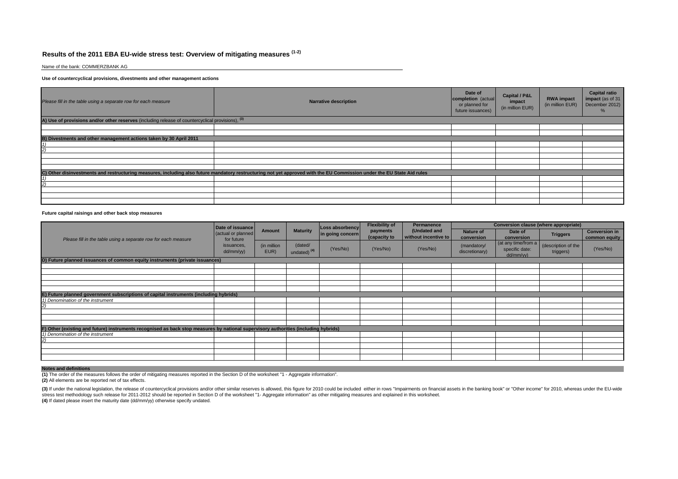## **Results of the 2011 EBA EU-wide stress test: Overview of mitigating measures (1-2)**

Name of the bank: COMMERZBANK AG

#### **Use of countercyclical provisions, divestments and other management actions**

| Please fill in the table using a separate row for each measure                                    | <b>Narrative description</b>                                                                                                                                           | Date of<br>completion (actual<br>or planned for<br>future issuances) | Capital / P&L<br>impact<br>(in million EUR) | <b>RWA impact</b><br>(in million EUR) | <b>Capital ratio</b><br>impact (as of 31<br>December 2012)<br>℅ |
|---------------------------------------------------------------------------------------------------|------------------------------------------------------------------------------------------------------------------------------------------------------------------------|----------------------------------------------------------------------|---------------------------------------------|---------------------------------------|-----------------------------------------------------------------|
| A) Use of provisions and/or other reserves (including release of countercyclical provisions), (3) |                                                                                                                                                                        |                                                                      |                                             |                                       |                                                                 |
|                                                                                                   |                                                                                                                                                                        |                                                                      |                                             |                                       |                                                                 |
|                                                                                                   |                                                                                                                                                                        |                                                                      |                                             |                                       |                                                                 |
| B) Divestments and other management actions taken by 30 April 2011                                |                                                                                                                                                                        |                                                                      |                                             |                                       |                                                                 |
|                                                                                                   |                                                                                                                                                                        |                                                                      |                                             |                                       |                                                                 |
|                                                                                                   |                                                                                                                                                                        |                                                                      |                                             |                                       |                                                                 |
|                                                                                                   |                                                                                                                                                                        |                                                                      |                                             |                                       |                                                                 |
|                                                                                                   |                                                                                                                                                                        |                                                                      |                                             |                                       |                                                                 |
|                                                                                                   |                                                                                                                                                                        |                                                                      |                                             |                                       |                                                                 |
|                                                                                                   | C) Other disinvestments and restructuring measures, including also future mandatory restructuring not yet approved with the EU Commission under the EU State Aid rules |                                                                      |                                             |                                       |                                                                 |
|                                                                                                   |                                                                                                                                                                        |                                                                      |                                             |                                       |                                                                 |
|                                                                                                   |                                                                                                                                                                        |                                                                      |                                             |                                       |                                                                 |
|                                                                                                   |                                                                                                                                                                        |                                                                      |                                             |                                       |                                                                 |
|                                                                                                   |                                                                                                                                                                        |                                                                      |                                             |                                       |                                                                 |
|                                                                                                   |                                                                                                                                                                        |                                                                      |                                             |                                       |                                                                 |

#### **Future capital raisings and other back stop measures**

|                                                                                                                                     | Date of issuance                 | Amount              | <b>Maturity</b>                    | Loss absorbency  | <b>Flexibility of</b>    | Permanence<br>(Undated and<br>without incentive to | Conversion clause (where appropriate) |                                                    |                                  |                                       |  |
|-------------------------------------------------------------------------------------------------------------------------------------|----------------------------------|---------------------|------------------------------------|------------------|--------------------------|----------------------------------------------------|---------------------------------------|----------------------------------------------------|----------------------------------|---------------------------------------|--|
| Please fill in the table using a separate row for each measure                                                                      | (actual or planned<br>for future |                     |                                    | in going concern | payments<br>(capacity to |                                                    | <b>Nature of</b><br>conversion        | Date of<br>conversion                              | <b>Triggers</b>                  | <b>Conversion in</b><br>common equity |  |
|                                                                                                                                     | issuances,<br>dd/mm/yy)          | (in million<br>EUR) | (dated/<br>undated) <sup>(4)</sup> | (Yes/No)         | (Yes/No)                 | (Yes/No)                                           | (mandatory/<br>discretionary)         | (at any time/from a<br>specific date:<br>dd/mm/yy) | (description of the<br>triggers) | (Yes/No)                              |  |
| D) Future planned issuances of common equity instruments (private issuances)                                                        |                                  |                     |                                    |                  |                          |                                                    |                                       |                                                    |                                  |                                       |  |
|                                                                                                                                     |                                  |                     |                                    |                  |                          |                                                    |                                       |                                                    |                                  |                                       |  |
|                                                                                                                                     |                                  |                     |                                    |                  |                          |                                                    |                                       |                                                    |                                  |                                       |  |
|                                                                                                                                     |                                  |                     |                                    |                  |                          |                                                    |                                       |                                                    |                                  |                                       |  |
|                                                                                                                                     |                                  |                     |                                    |                  |                          |                                                    |                                       |                                                    |                                  |                                       |  |
| E) Future planned government subscriptions of capital instruments (including hybrids)                                               |                                  |                     |                                    |                  |                          |                                                    |                                       |                                                    |                                  |                                       |  |
| 1) Denomination of the instrument                                                                                                   |                                  |                     |                                    |                  |                          |                                                    |                                       |                                                    |                                  |                                       |  |
|                                                                                                                                     |                                  |                     |                                    |                  |                          |                                                    |                                       |                                                    |                                  |                                       |  |
|                                                                                                                                     |                                  |                     |                                    |                  |                          |                                                    |                                       |                                                    |                                  |                                       |  |
|                                                                                                                                     |                                  |                     |                                    |                  |                          |                                                    |                                       |                                                    |                                  |                                       |  |
|                                                                                                                                     |                                  |                     |                                    |                  |                          |                                                    |                                       |                                                    |                                  |                                       |  |
| F) Other (existing and future) instruments recognised as back stop measures by national supervisory authorities (including hybrids) |                                  |                     |                                    |                  |                          |                                                    |                                       |                                                    |                                  |                                       |  |
| 1) Denomination of the instrument                                                                                                   |                                  |                     |                                    |                  |                          |                                                    |                                       |                                                    |                                  |                                       |  |
|                                                                                                                                     |                                  |                     |                                    |                  |                          |                                                    |                                       |                                                    |                                  |                                       |  |
|                                                                                                                                     |                                  |                     |                                    |                  |                          |                                                    |                                       |                                                    |                                  |                                       |  |
|                                                                                                                                     |                                  |                     |                                    |                  |                          |                                                    |                                       |                                                    |                                  |                                       |  |
|                                                                                                                                     |                                  |                     |                                    |                  |                          |                                                    |                                       |                                                    |                                  |                                       |  |

#### **Notes and definitions**

**(1)** The order of the measures follows the order of mitigating measures reported in the Section D of the worksheet "1 - Aggregate information".

**(2)** All elements are be reported net of tax effects.

(3) If under the national legislation, the release of countercyclical provisions and/or other similar reserves is allowed, this figure for 2010 could be included either in rows "Impairments on financial assets in the banki stress test methodology such release for 2011-2012 should be reported in Section D of the worksheet "1- Aggregate information" as other mitigating measures and explained in this worksheet. **(4)** If dated please insert the maturity date (dd/mm/yy) otherwise specify undated.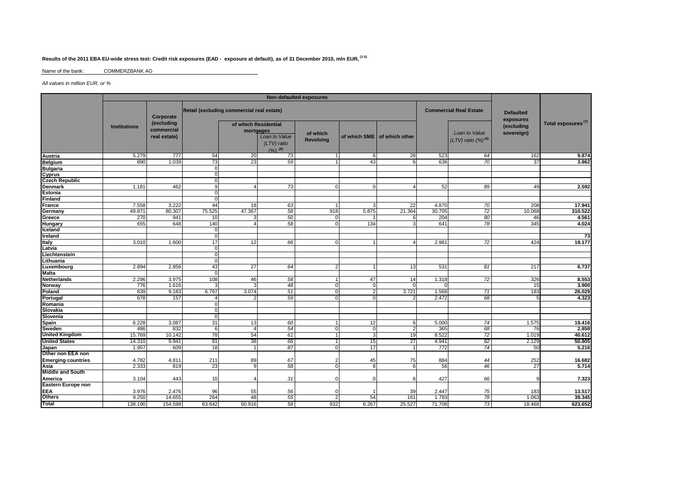## **Results of the 2011 EBA EU-wide stress test: Credit risk exposures (EAD - exposure at default), as of 31 December 2010, mln EUR, (1-5)**

Name of the bank:COMMERZBANK AG

All values in million EUR, or %

|                                                        | Non-defaulted exposures                                                                 |                                          |              |                                                                                |    |                              |                |                             |                               |                                            |                          |                                |
|--------------------------------------------------------|-----------------------------------------------------------------------------------------|------------------------------------------|--------------|--------------------------------------------------------------------------------|----|------------------------------|----------------|-----------------------------|-------------------------------|--------------------------------------------|--------------------------|--------------------------------|
|                                                        | Retail (excluding commercial real estate)<br><b>Commercial Real Estate</b><br>Corporate |                                          |              |                                                                                |    |                              |                |                             | <b>Defaulted</b><br>exposures |                                            |                          |                                |
|                                                        | <b>Institutions</b>                                                                     | (excluding<br>commercial<br>real estate) |              | of which Residential<br>mortgages<br>Loan to Value<br>(LTV) ratio<br>$(2)$ (6) |    | of which<br><b>Revolving</b> |                | of which SME of which other |                               | Loan to Value<br>$(LTV)$ ratio $(%)^{(6)}$ | (excluding<br>sovereign) | Total exposures <sup>(7)</sup> |
| <b>Austria</b>                                         | 5.279                                                                                   | 777                                      | 54           | 20                                                                             | 73 |                              | 6              | 28                          | 523                           | 64                                         | 162                      | 9.874                          |
| <b>Belgium</b>                                         | 890                                                                                     | 1.039                                    | 73           | 23                                                                             | 59 |                              | 43             | 6                           | 636                           | 70                                         | 37                       | 3.862                          |
| Bulgaria<br>Bulgaria<br>Cyprus<br>Czech Republic       |                                                                                         |                                          | $\Omega$     |                                                                                |    |                              |                |                             |                               |                                            |                          |                                |
|                                                        |                                                                                         |                                          | $\Omega$     |                                                                                |    |                              |                |                             |                               |                                            |                          |                                |
|                                                        |                                                                                         |                                          | $\Omega$     |                                                                                |    |                              |                |                             |                               |                                            |                          |                                |
| Denmark                                                | 1.181                                                                                   | 462                                      | <sub>9</sub> | 4                                                                              | 73 | $\Omega$                     | $\mathbf 0$    |                             | 52                            | 89                                         | 49                       | 2.592                          |
| Estonia                                                |                                                                                         |                                          | $\Omega$     |                                                                                |    |                              |                |                             |                               |                                            |                          |                                |
| <b>Finland</b>                                         |                                                                                         |                                          | $\Omega$     |                                                                                |    |                              |                |                             |                               |                                            |                          |                                |
| France                                                 | 7.558                                                                                   | 3.222                                    | 44           | 18                                                                             | 63 |                              | 3              | 22                          | 4.870                         | 70                                         | 208                      | 17.941                         |
| Germany                                                | 49.871                                                                                  | 80.307                                   | 75.525       | 47.367                                                                         | 58 | 918                          | 5.875          | 21.364                      | 30.705                        | 72                                         | 10.068                   | 310.522                        |
| Greece                                                 | 270                                                                                     | 941                                      | 10           | 3                                                                              | 50 | 0                            |                | 6                           | 204                           | 80                                         | 46                       | 4.561                          |
| <b>Hungary</b>                                         | 655                                                                                     | 648                                      | 140          | 4                                                                              | 58 | $\Omega$                     | 134            | 3                           | 641                           | 78                                         | 345                      | 4.024                          |
| Iceland                                                |                                                                                         |                                          | $\Omega$     |                                                                                |    |                              |                |                             |                               |                                            |                          |                                |
| <b>Ireland</b>                                         |                                                                                         |                                          |              |                                                                                |    |                              |                |                             |                               |                                            |                          | 73                             |
| Italy                                                  | 3.010                                                                                   | 1.600                                    | 17           | 12                                                                             | 66 | $\Omega$                     |                |                             | 2.981                         | 72                                         | 424                      | 19.177                         |
| Latvia                                                 |                                                                                         |                                          |              |                                                                                |    |                              |                |                             |                               |                                            |                          |                                |
| Liechtenstein                                          |                                                                                         |                                          |              |                                                                                |    |                              |                |                             |                               |                                            |                          |                                |
| Lithuania                                              |                                                                                         |                                          | $\Omega$     |                                                                                |    |                              |                |                             |                               |                                            |                          |                                |
| Luxembourg                                             | 2.894                                                                                   | 2.856                                    | 43           | 27                                                                             | 64 | $\mathcal{P}$                |                | 13                          | 531                           | 81                                         | 217                      | 6.737                          |
| <b>Malta</b>                                           |                                                                                         |                                          | $\Omega$     |                                                                                |    |                              |                |                             |                               |                                            |                          |                                |
| <b>Netherlands</b>                                     | 2.296                                                                                   | 3.975                                    | 108          | 46                                                                             | 58 |                              | 47             | 14                          | 1.318                         | $\overline{72}$                            | 326                      | 8.553                          |
| Norway                                                 | 776                                                                                     | 1.616                                    | з            | 3                                                                              | 48 | $\mathbf 0$                  | ō              | $\Omega$                    | ∩                             |                                            | 15                       | 3.900                          |
| Poland                                                 | 639                                                                                     | 9.183                                    | 6.797        | 3.074                                                                          | 51 | $\mathbf 0$                  | $\overline{2}$ | 3.721                       | 1.568                         | 71                                         | 183                      | 26.029                         |
| Portugal                                               | 678                                                                                     | 157                                      | 4            | 2                                                                              | 59 | $\Omega$                     | $\Omega$       |                             | 2.472                         | 68                                         |                          | 4.323                          |
| Romania                                                |                                                                                         |                                          | $\Omega$     |                                                                                |    |                              |                |                             |                               |                                            |                          |                                |
| Slovakia                                               |                                                                                         |                                          | $\Omega$     |                                                                                |    |                              |                |                             |                               |                                            |                          |                                |
| Slovenia                                               |                                                                                         |                                          | $\Omega$     |                                                                                |    |                              |                |                             |                               |                                            |                          |                                |
| Spain                                                  | 6.228                                                                                   | 3.087                                    | 31           | 13                                                                             | 60 |                              | 12             | 6                           | 5.000                         | 74                                         | 1.575                    | 19.416                         |
| Sweden                                                 | 486                                                                                     | 832                                      | 6            | 4                                                                              | 54 | $\Omega$                     | $\mathbf 0$    | $\overline{2}$              | 365                           | 68                                         | 76                       | 2.858                          |
| <b>United Kingdom</b>                                  | 15.769                                                                                  | 10.142                                   | 78           | 54                                                                             | 61 |                              | 3              | 19                          | 8.522                         | 72                                         | 1.019                    | 40.612                         |
| <b>United States</b>                                   | 14.310                                                                                  | 9.941                                    | 81           | 38                                                                             | 66 |                              | 15             | $\overline{27}$             | 4.941                         | 82                                         | 2.129                    | 50.805                         |
| Japan<br>Other non EEA non                             | 1.957                                                                                   | 609                                      | 18           |                                                                                | 87 | $\Omega$                     | 17             |                             | 772                           | 74                                         | 50                       | 5.216                          |
|                                                        |                                                                                         |                                          |              |                                                                                |    |                              |                |                             |                               |                                            |                          |                                |
| <b>Emerging countries</b>                              | 4.782                                                                                   | 4.811                                    | 211          | 89                                                                             | 67 |                              | 45             | 75                          | 884                           | 44                                         | 252                      | 16.682                         |
| <b>Enterging countries</b><br>Asia<br>Middle and South | 2.333                                                                                   | 819                                      | 23           | $\mathbf{Q}$                                                                   | 58 |                              | 8              | 6                           | 56                            | 46                                         | 27                       | 5.714                          |
|                                                        |                                                                                         |                                          |              |                                                                                |    |                              |                |                             |                               |                                            |                          |                                |
| America                                                | 3.104                                                                                   | 443                                      | 10           | Δ                                                                              | 31 | $\Omega$                     | $\mathbf 0$    | 6                           | 427                           | 66                                         |                          | 7.323                          |
| Eastern Europe non                                     |                                                                                         |                                          |              |                                                                                |    |                              |                |                             |                               |                                            |                          |                                |
| EEA<br>Others                                          | 3.976                                                                                   | 2.476                                    | 96           | 55                                                                             | 56 | $\Omega$                     |                | 39                          | 2.447                         | 75                                         | 183                      | 13.517                         |
|                                                        | 9.25C                                                                                   | 14.655                                   | 264          | 48                                                                             | 55 | $\overline{2}$               | 54             | 161                         | 1.793                         | 78                                         | 1.063                    | 39.345                         |
| Total                                                  | 138.190                                                                                 | 154.598                                  | 83.642       | 50.916                                                                         | 58 | 932                          | 6.267          | 25.527                      | 71.708                        | 73                                         | 18.468                   | 623.652                        |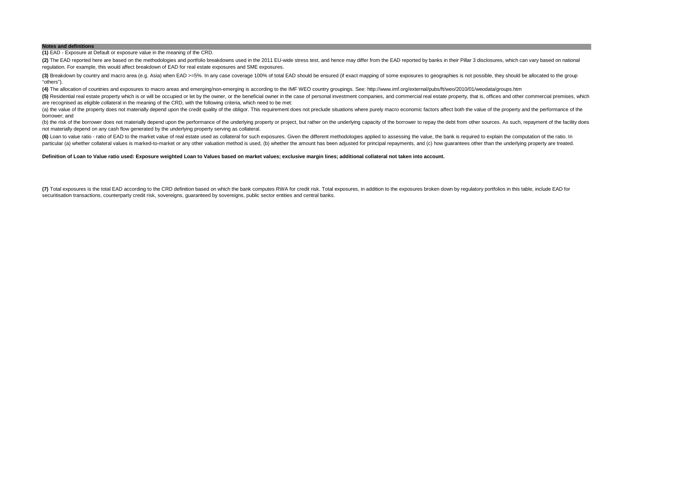#### **Notes and definitions**

**(1)** EAD - Exposure at Default or exposure value in the meaning of the CRD.

(2) The EAD reported here are based on the methodologies and portfolio breakdowns used in the 2011 EU-wide stress test, and hence may differ from the EAD reported by banks in their Pillar 3 disclosures, which can vary base regulation. For example, this would affect breakdown of EAD for real estate exposures and SME exposures.

(3) Breakdown by country and macro area (e.g. Asia) when EAD >=5%. In any case coverage 100% of total EAD should be ensured (if exact mapping of some exposures to geographies is not possible, they should be allocated to th "others").

**(4)** The allocation of countries and exposures to macro areas and emerging/non-emerging is according to the IMF WEO country groupings. See: http://www.imf.org/external/pubs/ft/weo/2010/01/weodata/groups.htm

(5) Residential real estate property which is or will be occupied or let by the owner, or the beneficial owner in the case of personal investment companies, and commercial real estate property, that is, offices and other c are recognised as eligible collateral in the meaning of the CRD, with the following criteria, which need to be met:

(a) the value of the property does not materially depend upon the credit quality of the obligor. This requirement does not preclude situations where purely macro economic factors affect both the value of the property and t borrower; and

(b) the risk of the borrower does not materially depend upon the performance of the underlying property or project, but rather on the underlying capacity of the borrower to repay the debt from other sources. As such, repay not materially depend on any cash flow generated by the underlying property serving as collateral.

(6) Loan to value ratio - ratio of EAD to the market value of real estate used as collateral for such exposures. Given the different methodologies applied to assessing the value, the bank is required to explain the computa particular (a) whether collateral values is marked-to-market or any other valuation method is used, (b) whether the amount has been adjusted for principal repayments, and (c) how guarantees other than the underlying proper

**Definition of Loan to Value ratio used: Exposure weighted Loan to Values based on market values; exclusive margin lines; additional collateral not taken into account.**

(7) Total exposures is the total EAD according to the CRD definition based on which the bank computes RWA for credit risk. Total exposures, in addition to the exposures broken down by regulatory portfolios in this table, i securitisation transactions, counterparty credit risk, sovereigns, guaranteed by sovereigns, public sector entities and central banks.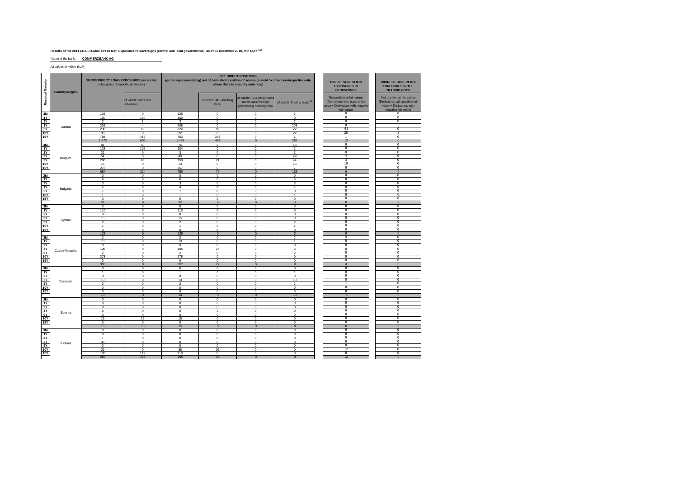## **Results of the 2011 EBA EU-wide stress test: Exposures to sovereigns (central and local governments), as of 31 December 2010, mln EUR (1,2)**

Name of the bank: **COMMERZBANK AG**

All values in million EUR

| Residual Maturity | <b>Country/Region</b> | <b>GROSS DIRECT LONG EXPOSURES (accounting)</b><br>value gross of specific provisions) |                                 |                      |                               | <b>NET DIRECT POSITIONS</b><br>(gross exposures (long) net of cash short position of sovereign debt to other counterparties only<br>where there is maturity matching) | <b>DIRECT SOVEREIGN</b><br><b>EXPOSURES IN</b><br><b>DERIVATIVES</b> | <b>INDIRECT SOVEREIGN</b><br><b>EXPOSURES IN THE</b><br><b>TRADING BOOK</b>                                        |                                                                                                                    |
|-------------------|-----------------------|----------------------------------------------------------------------------------------|---------------------------------|----------------------|-------------------------------|-----------------------------------------------------------------------------------------------------------------------------------------------------------------------|----------------------------------------------------------------------|--------------------------------------------------------------------------------------------------------------------|--------------------------------------------------------------------------------------------------------------------|
|                   |                       |                                                                                        | of which: loans and<br>advances |                      | of which: AFS banking<br>book | of which: FVO (designated<br>at fair value through<br>profit&loss) banking book                                                                                       | of which: Trading book (3)                                           | Net position at fair values<br>(Derivatives with positive fair<br>value + Derivatives with negative<br>fair value) | Net position at fair values<br>(Derivatives with positive fair<br>value + Derivatives with<br>negative fair value) |
| 3M                |                       | 126                                                                                    | $\mathbf 0$                     | 126                  | $\circ$                       | $^{\circ}$                                                                                                                                                            | 1                                                                    | $\overline{0}$                                                                                                     | $\overline{0}$                                                                                                     |
| 1Y                |                       | 160                                                                                    | 160                             | 160                  | $\circ$                       | $\circ$                                                                                                                                                               | $\mathbf 0$                                                          | $\overline{0}$                                                                                                     | $\overline{0}$                                                                                                     |
| 2Y                |                       | 3                                                                                      | $\mathbf{1}$                    | 3                    | $\circ$                       | $\circ$                                                                                                                                                               | $\overline{2}$                                                       | $\overline{0}$<br>$\overline{0}$                                                                                   | $\overline{0}$<br>$-1$                                                                                             |
| 3Y<br>5Y          | Austria               | 236<br>230                                                                             | 4<br>19                         | 208<br>224           | 0<br>89                       | $^{\circ}$<br>$^{\circ}$                                                                                                                                              | 203<br>22                                                            | $-13$                                                                                                              | $\overline{0}$                                                                                                     |
| <b>10Y</b>        |                       | 30                                                                                     | $\circ$                         | 22                   | $\circ$                       | $\mathbf 0$                                                                                                                                                           | 22                                                                   | 25                                                                                                                 | $\mathbf{1}$                                                                                                       |
| 15Y               |                       | 788                                                                                    | 416                             | 753                  | 373                           | $\circ$                                                                                                                                                               | $\mathbf{1}$                                                         | $\overline{1}$                                                                                                     | $\overline{0}$                                                                                                     |
|                   |                       | 1.573                                                                                  | 600                             | 1.496                | 463                           | $\overline{0}$                                                                                                                                                        | 251                                                                  | 13                                                                                                                 | $\overline{0}$                                                                                                     |
| 3M                |                       | 81                                                                                     | 50                              | 76                   | 8                             | $\circ$                                                                                                                                                               | 18                                                                   | $\overline{0}$                                                                                                     | $\overline{0}$                                                                                                     |
| 1Y                |                       | 128                                                                                    | 102                             | 104                  | $^{\circ}$                    | $\circ$                                                                                                                                                               | $\overline{2}$                                                       | $\overline{0}$                                                                                                     | $\overline{0}$                                                                                                     |
| 2Y                |                       | 22                                                                                     | $\circ$                         | 3                    | $\Omega$                      | $\circ$                                                                                                                                                               | 3                                                                    | $\overline{0}$                                                                                                     | $\overline{0}$                                                                                                     |
| 3Y                | Belgium               | 54                                                                                     | $\mathsf 0$                     | 49                   | 0                             | $\circ$                                                                                                                                                               | 49                                                                   | $-8$                                                                                                               | $\overline{0}$                                                                                                     |
| 5Y                |                       | 280                                                                                    | 63                              | 250                  | 71                            | $^{\circ}$                                                                                                                                                            | 44                                                                   | $\overline{\mathbf{3}}$                                                                                            | $\overline{0}$                                                                                                     |
| <b>10Y</b>        |                       | 16                                                                                     | $\mathsf 0$                     | 13                   | $\mathbf 0$                   | $\bf{0}$                                                                                                                                                              | 13                                                                   | 10                                                                                                                 | $\overline{0}$                                                                                                     |
| 15Y               |                       | 273                                                                                    | $\Omega$<br>214                 | 257<br>750           | $\Omega$<br>79                | $\Omega$<br>$\overline{0}$                                                                                                                                            | $\overline{7}$<br>135                                                | $\overline{0}$<br>6                                                                                                | $\overline{0}$<br>$\overline{0}$                                                                                   |
| 3M                |                       | 854                                                                                    |                                 |                      |                               |                                                                                                                                                                       |                                                                      | $\overline{0}$                                                                                                     | $\overline{0}$                                                                                                     |
| 1Y                |                       | $\circ$<br>6                                                                           | $\circ$<br>$^{\circ}$           | 0<br>6               | 0<br>$^{\circ}$               | $^{\circ}$<br>$^{\circ}$                                                                                                                                              | $\mathbf 0$<br>6                                                     | $\overline{0}$                                                                                                     | $\overline{0}$                                                                                                     |
| <b>2Y</b>         |                       | 3                                                                                      | $\circ$                         | 3                    | $\mathbf 0$                   | $\mathbf 0$                                                                                                                                                           | 3                                                                    | $\overline{0}$                                                                                                     | $\overline{0}$                                                                                                     |
| 3Y                |                       | 4                                                                                      | $\circ$                         | 4                    | 0                             | $\circ$                                                                                                                                                               | $\overline{4}$                                                       | $\overline{0}$                                                                                                     | $\overline{0}$                                                                                                     |
| 5Y                | Bulgaria              | $\overline{7}$                                                                         | $\mathsf 0$                     | $\overline{7}$       | 0                             | $\circ$                                                                                                                                                               | $\mathbf 0$                                                          | $\overline{0}$                                                                                                     | $\overline{0}$                                                                                                     |
| <b>10Y</b>        |                       | $\overline{1}$                                                                         | $\mathbf 0$                     | $\mathbf{1}$         | $\mathbf 0$                   | $^{\circ}$                                                                                                                                                            | $\overline{1}$                                                       | $\overline{0}$                                                                                                     | $-1$                                                                                                               |
| <b>15Y</b>        |                       | $\circ$                                                                                | $\circ$                         | $\mathbf 0$          | $\mathbf 0$                   | $\mathbf 0$                                                                                                                                                           | $\mathbf 0$                                                          | $\overline{0}$                                                                                                     | $\overline{0}$                                                                                                     |
|                   |                       | 22                                                                                     | $\mathbf 0$                     | 22                   | $\mathbf{0}$                  | $\mathbf{0}$                                                                                                                                                          | 14                                                                   | $\mathbf{0}$                                                                                                       | $-1$                                                                                                               |
| 3M                |                       | $\circ$                                                                                | $\circ$                         | 0                    | 0                             | $\circ$                                                                                                                                                               | $\mathbf 0$                                                          | $\overline{0}$                                                                                                     | $\overline{0}$                                                                                                     |
| 1Y                |                       | 110                                                                                    | $\circ$                         | 110                  | 0                             | $\circ$                                                                                                                                                               | $\mathbf 0$                                                          | $\overline{0}$                                                                                                     | $\overline{0}$                                                                                                     |
| 2Y                |                       | $^{\circ}$                                                                             | $^{\circ}$                      | $^{\circ}$           | $^{\circ}$                    | $^{\circ}$                                                                                                                                                            | $\mathbf{0}$                                                         | $\overline{0}$<br>$\overline{0}$                                                                                   | $\overline{0}$<br>$\overline{0}$                                                                                   |
| 3Y<br><b>5Y</b>   | Cyprus                | 15<br>$\overline{2}$                                                                   | $\mathbf 0$                     | 15<br>$\overline{2}$ | $\mathbf 0$                   | $\bf{0}$                                                                                                                                                              | $\mathbf 0$<br>$\overline{2}$                                        | $\overline{0}$                                                                                                     | $\overline{0}$                                                                                                     |
| <b>10Y</b>        |                       | $\mathbf{1}$                                                                           | $\mathsf 0$<br>$\circ$          | $\mathbf{1}$         | $\mathsf 0$<br>$\circ$        | $\mathbf 0$<br>$\circ$                                                                                                                                                | $\overline{1}$                                                       | $\overline{0}$                                                                                                     | $\overline{0}$                                                                                                     |
| <b>15Y</b>        |                       | $^{\circ}$                                                                             | $^{\circ}$                      | $^{\circ}$           | $^{\circ}$                    | $^{\circ}$                                                                                                                                                            | $\mathbf{0}$                                                         | $\overline{0}$                                                                                                     | $\overline{0}$                                                                                                     |
|                   |                       | 128                                                                                    | $\bf{0}$                        | 128                  | $\bf{0}$                      | $\mathbf{0}$                                                                                                                                                          | $\mathbf{3}$                                                         | $\overline{0}$                                                                                                     | $\mathbf{0}$                                                                                                       |
| 3M                |                       | $\overline{2}$                                                                         | $\mathbf 0$                     | $\mathfrak{p}$       | $\mathbf 0$                   | $\mathbf 0$                                                                                                                                                           | $\overline{2}$                                                       | $\overline{4}$                                                                                                     | 0                                                                                                                  |
| <b>1Y</b>         |                       | 10                                                                                     | $\mathbf 0$                     | 10                   | $\mathsf 0$                   | $\mathbf 0$                                                                                                                                                           | $\mathbf{1}$                                                         | $\overline{0}$                                                                                                     | $\overline{0}$                                                                                                     |
| <b>2Y</b>         |                       | $^{\circ}$                                                                             | $\mathbf 0$                     | $\circ$              | $\mathbf 0$                   | $^{\circ}$                                                                                                                                                            | $\mathbf{0}$                                                         | $\overline{0}$                                                                                                     | $\overline{0}$                                                                                                     |
| 3Y                | Czech Republic        | 106                                                                                    | $\mathbf 0$                     | 106                  | 27                            | $\mathbf 0$                                                                                                                                                           | 3                                                                    | $\overline{0}$                                                                                                     | $\overline{0}$                                                                                                     |
| 5Y                |                       | $\overline{2}$                                                                         | $\mathbf 0$                     | $\overline{c}$       | $\mathbf 0$                   | $\mathbf 0$                                                                                                                                                           | $\overline{2}$                                                       | $\overline{0}$                                                                                                     | $\overline{0}$                                                                                                     |
| <b>10Y</b>        |                       | 278                                                                                    | $\mathbf 0$                     | 278                  | $\mathbf 0$                   | $\mathbf 0$                                                                                                                                                           | $\mathbf 0$                                                          | $\overline{0}$<br>$\overline{0}$                                                                                   | $\Omega$<br>$\overline{0}$                                                                                         |
| <b>15Y</b>        |                       | $\circ$<br>398                                                                         | $\mathbf 0$<br>$\mathbf{0}$     | $\mathbf 0$<br>397   | $\mathbf 0$<br>27             | $\circ$<br>$\mathbf{0}$                                                                                                                                               | $\mathbf 0$<br>8                                                     | $\overline{4}$                                                                                                     | $\mathbf{0}$                                                                                                       |
| 3M                |                       | $\,0\,$                                                                                | $\mathbf 0$                     | 0                    | $\mathbf 0$                   | $\mathbf 0$                                                                                                                                                           | $\mathbf 0$                                                          | $\Omega$                                                                                                           | $^{\circ}$                                                                                                         |
| 1Y                |                       | $\mathbf{1}$                                                                           | $\mathbf 0$                     | $\overline{1}$       | $\mathbf 0$                   | $\mathbf 0$                                                                                                                                                           | $\mathbf{1}$                                                         | $\overline{0}$                                                                                                     | 0                                                                                                                  |
| <b>2Y</b>         |                       | $\mathbf{0}$                                                                           | $\mathbf 0$                     | $\mathbf 0$          | $\mathbf 0$                   | $\mathbf 0$                                                                                                                                                           | $\mathbf 0$                                                          | $\overline{0}$                                                                                                     | $\Omega$                                                                                                           |
| 3Y                |                       | 10                                                                                     | $\mathbf 0$                     | 10                   | $\mathbf 0$                   | $\mathbf 0$                                                                                                                                                           | 10                                                                   | $\overline{0}$                                                                                                     | $\overline{0}$                                                                                                     |
| <b>5Y</b>         | Denmark               | $\overline{2}$                                                                         | $\mathbf 0$                     | $\overline{2}$       | $\mathbf 0$                   | $\mathbf 0$                                                                                                                                                           | $\overline{2}$                                                       | $-3$                                                                                                               | $^{\circ}$                                                                                                         |
| 10Y               |                       | $\mathsf 0$                                                                            | $\mathsf 0$                     | 0                    | $\mathbf 0$                   | $\mathbf 0$                                                                                                                                                           | $\mathbf 0$                                                          | $\overline{0}$                                                                                                     | $\Omega$                                                                                                           |
| <b>15Y</b>        |                       | $\mathsf 0$                                                                            | $\mathbf 0$                     | 0                    | $\mathbf 0$                   | $\mathbf 0$                                                                                                                                                           | $\mathbf 0$                                                          | $\overline{\mathbf{0}}$                                                                                            | 0                                                                                                                  |
|                   |                       | 13                                                                                     | $\mathbf{0}$                    | 13                   | $\mathbf{0}$                  | $\mathbf{0}$                                                                                                                                                          | 13                                                                   | $-3$                                                                                                               | $\bf{0}$                                                                                                           |
| 3M                |                       | $\mathbf{0}$                                                                           | $\mathbf 0$                     | $\mathbf 0$          | $\mathbf 0$                   | $\mathbf 0$                                                                                                                                                           | $\mathbf 0$                                                          | $\Omega$<br>$\overline{0}$                                                                                         | $^{\circ}$                                                                                                         |
| <b>1Y</b>         |                       | $\mathbf 0$                                                                            | $\mathbf 0$                     | $\mathbf 0$          | $\mathbf 0$                   | $\mathbf 0$                                                                                                                                                           | $\mathbf 0$                                                          | $\overline{0}$                                                                                                     | $^{\circ}$<br>$\Omega$                                                                                             |
| <b>2Y</b><br>3Y   |                       | $\mathsf 0$<br>$\mathbf{0}$                                                            | $\mathsf 0$<br>$\mathbf 0$      | 0<br>$\mathbf 0$     | $\mathbf 0$<br>$\mathbf 0$    | $\bf{0}$<br>$\mathbf 0$                                                                                                                                               | $\mathbf 0$<br>$\mathbf 0$                                           | $\bar{0}$                                                                                                          | 0                                                                                                                  |
| 5Y                | Estonia               | $\mathbf{0}$                                                                           | $\mathbf 0$                     | $\mathbf 0$          | $\mathbf 0$                   | $\mathbf 0$                                                                                                                                                           | $\mathbf 0$                                                          | $^{\circ}$                                                                                                         | $\mathbf{0}$                                                                                                       |
| <b>10Y</b>        |                       | 15                                                                                     | 15                              | 15                   | $\overline{0}$                | $\overline{0}$                                                                                                                                                        | $\mathbf 0$                                                          | n                                                                                                                  | n                                                                                                                  |
| <b>15Y</b>        |                       | $\mathbf 0$                                                                            | $\mathbf 0$                     | $\mathbf 0$          | $\mathbf 0$                   | $\mathbf 0$                                                                                                                                                           | $\mathbf 0$                                                          | $\overline{0}$                                                                                                     | $\overline{0}$                                                                                                     |
|                   |                       | 15                                                                                     | 15                              | 15                   | $\mathbf{0}$                  | $\mathbf{0}$                                                                                                                                                          | $\mathbf 0$                                                          | $\overline{0}$                                                                                                     | $\Omega$                                                                                                           |
| 3M                |                       | $\mathbf{0}$                                                                           | $\mathbf 0$                     | $\mathbf 0$          | $\mathbf 0$                   | $\mathbf 0$                                                                                                                                                           | $\mathbf 0$                                                          | $^{\circ}$                                                                                                         | $^{\circ}$                                                                                                         |
| 1Y                |                       | $\mathbf{0}$                                                                           | $\overline{0}$                  | $\overline{0}$       | $\mathbf 0$                   | $\mathbf 0$                                                                                                                                                           | $\overline{0}$                                                       | $\overline{0}$                                                                                                     | $\overline{0}$                                                                                                     |
| 2Y                |                       | $\overline{7}$                                                                         | $\overline{0}$                  | $\mathbf 0$          | $\overline{0}$                | $\overline{0}$                                                                                                                                                        | $\mathbf 0$                                                          | n                                                                                                                  | n                                                                                                                  |
| 3Y                | Finland               | 36                                                                                     | $\mathbf 0$                     | $\mathbf 0$          | $\mathbf 0$                   | $\mathbf 0$                                                                                                                                                           | $\mathbf 0$                                                          | $\overline{0}$                                                                                                     | $\overline{0}$                                                                                                     |
| 5Y                |                       | $\circ$                                                                                | $\mathbf 0$                     | $\mathbf 0$          | $\mathbf 0$                   | $\circ$                                                                                                                                                               | $\mathbf 0$                                                          | $\overline{\mathbf{0}}$                                                                                            | 0                                                                                                                  |
| <b>10Y</b>        |                       | 39                                                                                     | $\mathbf 0$                     | 36                   | 35                            | $\mathbf 0$                                                                                                                                                           | $\mathbf 0$                                                          | 12                                                                                                                 | $^{\circ}$                                                                                                         |
| 15Y               |                       | 120                                                                                    | 119                             | 119                  | $\mathbf 0$                   | $\overline{0}$                                                                                                                                                        | $\mathbf 0$                                                          | $\overline{0}$                                                                                                     | $\overline{0}$                                                                                                     |
|                   |                       | 203                                                                                    | 119                             | 155                  | 35                            | $\overline{0}$                                                                                                                                                        | $\overline{0}$                                                       | 12                                                                                                                 | $\overline{0}$                                                                                                     |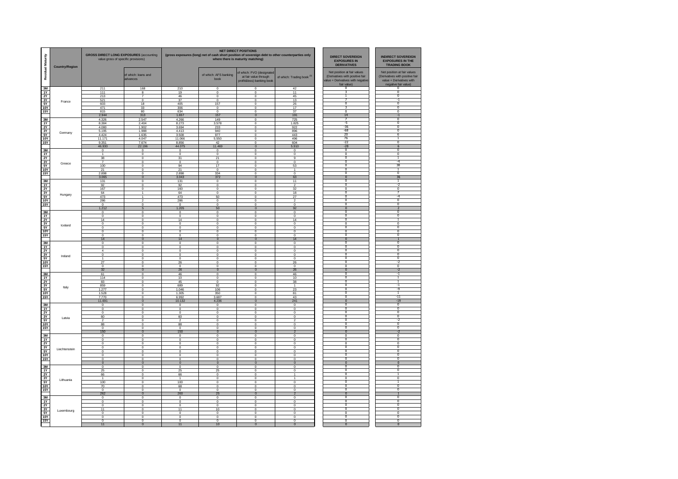| <b>I</b> Maturity                | <b>Country/Region</b> | <b>GROSS DIRECT LONG EXPOSURES (accounting</b><br>value gross of specific provisions) |                                           |                                   |                                       | <b>NET DIRECT POSITIONS</b><br>(gross exposures (long) net of cash short position of sovereign debt to other counterparties only<br>where there is maturity matching) | <b>DIRECT SOVEREIGN</b><br><b>EXPOSURES IN</b><br><b>DERIVATIVES</b> | <b>INDIRECT SOVEREIGN</b><br><b>EXPOSURES IN THE</b><br><b>TRADING BOOK</b>                                      |                                                                                                                    |
|----------------------------------|-----------------------|---------------------------------------------------------------------------------------|-------------------------------------------|-----------------------------------|---------------------------------------|-----------------------------------------------------------------------------------------------------------------------------------------------------------------------|----------------------------------------------------------------------|------------------------------------------------------------------------------------------------------------------|--------------------------------------------------------------------------------------------------------------------|
| $\overline{\mathbf{g}}$<br>Resid |                       |                                                                                       | of which: loans and<br>advances           |                                   | of which: AFS banking<br>book         | of which: FVO (designated<br>at fair value through<br>profit&loss) banking book                                                                                       | of which: Trading book <sup>(3)</sup>                                | Net position at fair values<br>(Derivatives with positive fair<br>alue + Derivatives with negativ<br>fair value) | Net position at fair values<br>(Derivatives with positive fair<br>value + Derivatives with<br>negative fair value) |
| 3M<br>1Y                         |                       | 211<br>111                                                                            | 168                                       | 210<br>19                         | $^{\circ}$                            | $^{\circ}$                                                                                                                                                            | 42<br>11                                                             |                                                                                                                  | $\overline{\mathbf{0}}$                                                                                            |
| 2Y                               |                       | 213                                                                                   | 8<br>$\overline{7}$                       | 46                                | $^{\circ}$<br>$\mathbf 0$             | $^{\circ}$<br>$^{\circ}$                                                                                                                                              | 45                                                                   |                                                                                                                  | $\overline{0}$                                                                                                     |
| 3Y                               | France                | 521                                                                                   | $\Omega$                                  | 37                                | $\Omega$                              | $\Omega$                                                                                                                                                              | 13                                                                   | $\overline{0}$                                                                                                   | -1<br>$\overline{0}$                                                                                               |
| $rac{5Y}{10Y}$                   |                       | 603<br>471                                                                            | 18<br>33                                  | 405<br>306                        | 157<br>$^{\circ}$                     | $\Omega$<br>$^{\circ}$                                                                                                                                                | 26<br>17                                                             |                                                                                                                  | 0                                                                                                                  |
| <b>15Y</b>                       |                       | 815                                                                                   | 80                                        | 634                               | $\Omega$                              | $\Omega$                                                                                                                                                              | 37                                                                   | $\overline{0}$                                                                                                   | $\overline{0}$                                                                                                     |
|                                  |                       | 2.944                                                                                 | 313                                       | 1.657                             | 157                                   | $\mathbf{0}$                                                                                                                                                          | 191                                                                  | 14                                                                                                               | $-1$                                                                                                               |
| 3M                               |                       | 4.326<br>8.384                                                                        | 2.547<br>2.404                            | 4.266<br>8.273                    | 149                                   | $\circ$<br>$\Omega$                                                                                                                                                   | 725                                                                  | -5                                                                                                               | 0<br>$\overline{0}$                                                                                                |
| 1Y<br><b>2Y</b>                  | Germany<br><b>10Y</b> | 4.080                                                                                 | 1.902                                     | 3.694                             | 3.578<br>233                          | $\Omega$                                                                                                                                                              | 1.825<br>922                                                         | $-36$                                                                                                            | $\mathbf{0}$                                                                                                       |
| 3Y                               |                       | 5.195                                                                                 | 1.988                                     | 4.413                             | 940                                   | $\Omega$                                                                                                                                                              | 896                                                                  | $-68$                                                                                                            | $\overline{0}$                                                                                                     |
| 5Y                               |                       | 4.424<br>11.171                                                                       | 1.635<br>4.047                            | 3.508<br>11.066                   | 977<br>5.550                          | $\Omega$<br>$\Omega$                                                                                                                                                  | 443<br>496                                                           | $\overline{20}$<br>76                                                                                            | 6                                                                                                                  |
| <b>15Y</b>                       |                       | 9.351                                                                                 | 7.674                                     | 8.856                             | $\frac{42}{11.469}$                   | $\Omega$                                                                                                                                                              | 604                                                                  | $-22$                                                                                                            | $\overline{0}$                                                                                                     |
|                                  |                       | 46.930                                                                                | 22.196                                    | 44.075                            |                                       | $\Omega$                                                                                                                                                              | 5.910                                                                | $-28$<br>$\Omega$                                                                                                | 6<br>$\Omega$                                                                                                      |
| <b>3M</b><br>1Y                  |                       | $\overline{0}$<br>$\ddot{\phantom{1}}$                                                | $\,0\,$<br>$\overline{0}$                 | $\,0\,$<br>$\overline{0}$         | $\,0\,$<br>$\overline{0}$             | $\bf{0}$<br>$\overline{\mathbf{0}}$                                                                                                                                   | $\,0\,$<br>$\overline{0}$                                            | $\overline{0}$                                                                                                   | $\overline{0}$                                                                                                     |
| <b>2Y</b>                        |                       | 38                                                                                    | $\overline{\mathbf{0}}$                   | 31                                | 21                                    | $\overline{\mathbf{0}}$                                                                                                                                               | $\overline{9}$                                                       | $\overline{0}$                                                                                                   | ℸ                                                                                                                  |
| 3Y                               | Greece                | 100                                                                                   | $\circ$<br>$\bf{0}$                       | $\mathbf 0$<br>94                 | $\theta$<br>17                        | $\circ$<br>$\overline{\mathbf{0}}$                                                                                                                                    | $\mathbf 0$                                                          | $\Omega$<br>$\overline{0}$                                                                                       | $-4$<br>38                                                                                                         |
| 5Y<br><b>10Y</b>                 |                       | 21                                                                                    | $\overline{\mathbf{0}}$                   | 21                                | 0                                     | $\overline{\mathbf{0}}$                                                                                                                                               | 53                                                                   | $\overline{0}$                                                                                                   | T                                                                                                                  |
| 15Y                              |                       | 2.898                                                                                 | $\overline{0}$                            | 2.898                             | 334                                   | $\overline{0}$                                                                                                                                                        | $\overline{0}$                                                       | $\overline{0}$                                                                                                   | $\overline{0}$                                                                                                     |
| 3M                               |                       | 3.065<br>131                                                                          | $\overline{0}$<br>$\mathsf{o}$            | 3.043<br>131                      | 372<br>$\mathbf 0$                    | $\mathbf 0$<br>$\mathbf 0$                                                                                                                                            | 63<br>11                                                             | $\overline{0}$<br>$\Omega$                                                                                       | 36<br>1                                                                                                            |
| 1Y                               |                       | 92                                                                                    | $\mathbf 0$                               | 92                                | $\theta$                              | $\circ$                                                                                                                                                               |                                                                      | $\overline{0}$                                                                                                   | -7                                                                                                                 |
| <b>2Y</b><br>3Y                  |                       | 167                                                                                   | $\overline{0}$                            | 160                               | $\overline{0}$                        | $\overline{\mathbf{0}}$                                                                                                                                               | 32                                                                   | $\overline{0}$<br>$\overline{0}$                                                                                 | $\overline{0}$<br>7                                                                                                |
| 5Y                               | Hungary               | 64<br>473                                                                             | $\mathbf{1}$<br>$\overline{1}$            | 64<br>473                         | $\bf{0}$<br>50                        | $\mathbf 0$<br>$^{\circ}$                                                                                                                                             | 18<br>27                                                             | $\overline{0}$                                                                                                   | -4                                                                                                                 |
| <b>10Y</b>                       |                       | 286                                                                                   |                                           | 286                               | 0                                     | $^{\circ}$                                                                                                                                                            |                                                                      | $\overline{0}$                                                                                                   | $\overline{0}$                                                                                                     |
| 15Y                              |                       | $\circ$<br>1.212                                                                      | $\overline{0}$<br>5                       | $\bf{0}$<br>1.205                 | 0<br>50                               | $\overline{\mathbf{0}}$<br>$\overline{0}$                                                                                                                             | $\overline{0}$<br>92                                                 | $\overline{0}$<br>$\overline{0}$                                                                                 | $\overline{0}$<br>$\overline{2}$                                                                                   |
| 3M                               |                       | $^{\circ}$                                                                            | $^{\circ}$                                | $\mathbf 0$                       | $\mathbf 0$                           | $^{\circ}$                                                                                                                                                            | $^{\circ}$                                                           | $\overline{0}$                                                                                                   | $\overline{\mathfrak{o}}$                                                                                          |
| 1Y                               |                       | $^{\circ}$                                                                            | $^{\circ}$                                | $\mathbf 0$                       | $^{\circ}$                            | $^{\circ}$                                                                                                                                                            | $^{\circ}$                                                           | $\overline{0}$                                                                                                   | $\overline{\mathbf{0}}$<br>ī                                                                                       |
| $\frac{2Y}{3Y}$                  |                       | 14<br>$^{\circ}$                                                                      | $\Omega$<br>$^{\circ}$                    | 14<br>$^{\circ}$                  | $\Omega$<br>$^{\circ}$                | $\Omega$<br>$^{\circ}$                                                                                                                                                | 14<br>$^{\circ}$                                                     | $\overline{0}$                                                                                                   | $\overline{0}$                                                                                                     |
| 5Y                               | Iceland               | $\mathbf{0}$                                                                          | $\circ$                                   | $\mathbf 0$                       | $\circ$                               | $\circ$                                                                                                                                                               | $\mathbf{0}$                                                         | $\overline{0}$                                                                                                   | 0                                                                                                                  |
| 10Y                              |                       | $\Omega$<br>$\Omega$                                                                  | $\Omega$<br>$\Omega$                      | $\Omega$<br>$\Omega$              | $\Omega$<br>$\Omega$                  | $\Omega$<br>$\Omega$                                                                                                                                                  | $\Omega$<br>$\Omega$                                                 | $\Omega$<br>$\Omega$                                                                                             | $\overline{0}$<br>$\overline{0}$                                                                                   |
| 15Y                              |                       | 14                                                                                    | $\mathbf{0}$                              | 14                                | $\mathbf{0}$                          | $\mathbf{0}$                                                                                                                                                          | 14                                                                   | $\mathbf{0}$                                                                                                     | $\mathbf{1}$                                                                                                       |
| 3M                               |                       | $\Omega$                                                                              | $\Omega$                                  | $\Omega$                          | $\Omega$                              | $\Omega$                                                                                                                                                              | $\Omega$                                                             | $\Omega$                                                                                                         | $\mathbf{0}$                                                                                                       |
| 1Y<br>2Y                         |                       | $\Omega$<br>$\overline{4}$                                                            | $\Omega$<br>$\Omega$                      | $\Omega$<br>$\Omega$              | $\Omega$<br>$\Omega$                  | $\Omega$<br>$\Omega$                                                                                                                                                  | $\Omega$<br>$\Omega$                                                 | $\Omega$<br>$\overline{0}$                                                                                       | $\mathbf{0}$<br>$\overline{0}$                                                                                     |
| 3Y                               | Ireland               | $\Omega$                                                                              | $\Omega$                                  | $\Omega$                          | $\Omega$                              | $\Omega$                                                                                                                                                              | $\Omega$                                                             | n                                                                                                                | $\Omega$                                                                                                           |
| 5Y<br><b>10Y</b>                 |                       | $\overline{1}$<br>27                                                                  | $\mathbf 0$<br>$\mathbf 0$                | $\mathbf 0$<br>26                 | $\circ$<br>$\Omega$                   | $\mathbf 0$<br>$\Omega$                                                                                                                                               | $\mathbf{0}$<br>26                                                   | $\Omega$<br>$^{\circ}$                                                                                           | $\overline{0}$<br>$-2$                                                                                             |
| 15Y                              |                       | $\Omega$                                                                              | $\Omega$                                  | $\Omega$                          | $\Omega$                              | $\Omega$                                                                                                                                                              | $\Omega$                                                             | $\Omega$                                                                                                         | $\overline{0}$                                                                                                     |
|                                  |                       | 32                                                                                    | $\mathbf{0}$                              | 26                                | $\mathbf{0}$                          | $\mathbf{0}$                                                                                                                                                          | 26                                                                   | $\Omega$                                                                                                         | $-2$                                                                                                               |
| 3M<br>1Y                         |                       | 61<br>114                                                                             | $\overline{0}$<br>$\mathbf 0$             | 46<br>10                          | $\overline{\mathbf{0}}$<br>$\pmb{0}$  | $\overline{0}$<br>$\mathbf 0$                                                                                                                                         | 46<br>10                                                             | $\Omega$<br>$\Omega$                                                                                             | -1<br>$\mathbf{1}$                                                                                                 |
| 2Y                               |                       | 83                                                                                    | $\Omega$                                  | 45                                | $\Omega$                              | $\Omega$                                                                                                                                                              | 38                                                                   | $\Omega$                                                                                                         | $\mathbf{1}$                                                                                                       |
| 3Y<br>5Y                         | Italy                 | 859<br>1.277                                                                          | $\overline{\mathbf{0}}$<br>$\overline{0}$ | 689<br>1.046                      | 92<br>106                             | $\overline{\mathbf{0}}$<br>$\overline{\mathbf{0}}$                                                                                                                    | 23                                                                   | $\overline{0}$<br>$\overline{0}$                                                                                 | -1<br>Þ                                                                                                            |
| <b>10Y</b>                       |                       | 1.528                                                                                 | $\mathbf 0$                               | 1.305                             | 350                                   | $\mathbf 0$                                                                                                                                                           | 81                                                                   | $\overline{0}$                                                                                                   | $\mathbf{1}$                                                                                                       |
| <b>15Y</b>                       |                       | 7.770                                                                                 | $\pmb{0}$                                 | 6.992                             | 3.687                                 | $\pmb{0}$                                                                                                                                                             | 43                                                                   | $\overline{0}$                                                                                                   | $-11$                                                                                                              |
| 3M                               |                       | 11.691<br>$\,0\,$                                                                     | $\mathbf 0$<br>$\circ$                    | 10.132<br>$\circ$                 | 4.236<br>$\mathbf 0$                  | $\mathbf 0$<br>$\mathbf 0$                                                                                                                                            | 241<br>$\mathbf 0$                                                   | $\pmb{0}$<br>$\overline{0}$                                                                                      | $-19$<br>$\overline{0}$                                                                                            |
| 1Y                               |                       | $\mathbf 0$                                                                           | $\overline{0}$                            | $\overline{0}$                    | $\overline{0}$                        | $\overline{\mathbf{0}}$                                                                                                                                               | $\overline{0}$                                                       | $\overline{0}$                                                                                                   | $\overline{0}$                                                                                                     |
| 2Y<br>3Y                         |                       | $\overline{0}$<br>60                                                                  | $\mathsf 0$<br>$\mathbf 0$                | $\overline{0}$<br>60              | $\overline{\mathbf{0}}$<br>$^{\circ}$ | $\overline{\mathbf{0}}$<br>$^{\circ}$                                                                                                                                 | $\overline{0}$<br>$\mathbf{0}$                                       | $\overline{0}$<br>$\overline{0}$                                                                                 | $\overline{0}$<br>$\overline{0}$                                                                                   |
| 5Y                               | Latvia                |                                                                                       | $^{\circ}$                                |                                   | $^{\circ}$                            | $^{\circ}$                                                                                                                                                            |                                                                      | $\overline{0}$                                                                                                   | -2                                                                                                                 |
| <b>10Y</b>                       |                       | 88                                                                                    | $\overline{0}$                            | 88                                | $\overline{0}$                        | $\mathbf 0$                                                                                                                                                           | $\pmb{0}$                                                            | $\overline{0}$<br>n                                                                                              | $\overline{0}$<br>$\overline{0}$                                                                                   |
| 15Y                              |                       | $^{\circ}$<br>150                                                                     | $^{\circ}$<br>$\mathbf{0}$                | 0<br>150                          | $^{\circ}$<br>$\mathbf 0$             | $^{\circ}$<br>$\overline{0}$                                                                                                                                          | $^{\circ}$<br>$\overline{2}$                                         | $\overline{\mathbf{0}}$                                                                                          | $-2$                                                                                                               |
| 3M                               |                       | $^{\circ}$                                                                            | $\circ$                                   | $\mathbf 0$                       | $\mathbf 0$                           | $^{\circ}$                                                                                                                                                            | $^{\circ}$                                                           | $\overline{0}$                                                                                                   | $\overline{0}$                                                                                                     |
| 1Y<br><b>2Y</b>                  |                       | $\Omega$<br>$^{\circ}$                                                                | $\Omega$<br>$^{\circ}$                    | $\Omega$<br>$^{\circ}$            | $\Omega$<br>$^{\circ}$                | $\Omega$<br>$^{\circ}$                                                                                                                                                | $\Omega$<br>$^{\circ}$                                               | $\overline{0}$<br>$\overline{0}$                                                                                 | $\overline{0}$<br>$\overline{0}$                                                                                   |
| 3Y                               | Liechtenstein         | $^{\circ}$                                                                            | $\circ$                                   | $\mathbf 0$                       | $\circ$                               | $\circ$                                                                                                                                                               | $^{\circ}$                                                           | $\overline{0}$                                                                                                   | $\overline{\mathbf{0}}$                                                                                            |
| 5Y                               |                       | $\Omega$                                                                              | $\Omega$                                  | $\Omega$                          | $\Omega$                              | $\Omega$                                                                                                                                                              | $\Omega$                                                             | $\overline{0}$<br>ō                                                                                              | $\overline{0}$<br>$\overline{0}$                                                                                   |
| <b>10Y</b><br>15Y                |                       | $\Omega$<br>$\circ$                                                                   | $\Omega$<br>$\Omega$                      | $\Omega$<br>$\circ$               | $\Omega$<br>$\Omega$                  | $\Omega$<br>$\Omega$                                                                                                                                                  | $\Omega$<br>$\Omega$                                                 | $\overline{0}$                                                                                                   | $\overline{0}$                                                                                                     |
|                                  |                       | $\overline{0}$                                                                        | $\overline{0}$                            | $\overline{0}$                    | $\mathbf{0}$                          | $\mathbf{0}$                                                                                                                                                          | $\mathbf{0}$                                                         | $\overline{\mathbf{0}}$                                                                                          | $\overline{0}$                                                                                                     |
| 3M<br>1Y                         |                       | $\Omega$<br>25                                                                        | $\Omega$<br>$\Omega$                      | $\Omega$<br>25                    | $\Omega$<br>25                        | $\Omega$<br>$\Omega$                                                                                                                                                  | $\Omega$<br>$\Omega$                                                 | $^{\circ}$<br>$\overline{0}$                                                                                     | $^{\circ}$<br>$\overline{0}$                                                                                       |
| 2Y                               |                       | 66                                                                                    | $\Omega$                                  | 66                                | $\Omega$                              | $\Omega$                                                                                                                                                              | $\mathbf{1}$                                                         |                                                                                                                  |                                                                                                                    |
| $rac{3Y}{5Y}$                    | Lithuania             | $\overline{1}$<br>100                                                                 | $\mathbf 0$<br>$\mathbf 0$                | $\blacktriangleleft$<br>100       | $\circ$<br>$\Omega$                   | $\mathbf 0$<br>$\Omega$                                                                                                                                               | $\mathbf{1}$<br>$\Omega$                                             | $\overline{0}$<br>$\overline{0}$                                                                                 | $\overline{0}$<br>$\mathbf{1}$                                                                                     |
| <b>10Y</b>                       |                       | 70                                                                                    | $\Omega$                                  | 68                                | $\Omega$                              | $\Omega$                                                                                                                                                              | $\Omega$                                                             | $\Omega$                                                                                                         | $\Omega$                                                                                                           |
| <b>15Y</b>                       |                       | $\Omega$                                                                              | $\Omega$                                  | $\Omega$                          | $\Omega$                              | $\Omega$                                                                                                                                                              | $\Omega$                                                             | $\Omega$                                                                                                         | $\Omega$                                                                                                           |
|                                  |                       | 262<br>$\mathbf{0}$                                                                   | $\Omega$<br>$\mathbf 0$                   | 260<br>$\mathbf 0$                | 25<br>$\pmb{0}$                       | $\Omega$<br>$\mathbf{0}$                                                                                                                                              | $\overline{\phantom{a}}$<br>$\mathbf 0$                              | $\overline{0}$<br>$\Omega$                                                                                       | $\Omega$                                                                                                           |
| $\frac{3M}{1Y}$                  |                       | $\Omega$                                                                              | $\Omega$                                  | $\Omega$                          | $\Omega$                              | $\Omega$                                                                                                                                                              | $\Omega$                                                             | $\Omega$                                                                                                         | $\Omega$                                                                                                           |
| 2Y                               |                       | $\pmb{0}$<br>$\overline{11}$                                                          | $\overline{0}$<br>$\overline{0}$          | $\overline{0}$<br>$\overline{11}$ | 0<br>10                               | $\overline{\mathbf{0}}$<br>$\overline{\mathbf{0}}$                                                                                                                    | $\pmb{0}$<br>$\overline{0}$                                          | $\overline{0}$<br>$\overline{0}$                                                                                 | $\overline{0}$<br>$\overline{0}$                                                                                   |
| 3Y<br>5Y                         | Luxembourg            | $\mathbf{0}$                                                                          | $\mathbf 0$                               | $\mathbf 0$                       | $\mathbf 0$                           | $\mathbf 0$                                                                                                                                                           | $\mathbf 0$                                                          | n                                                                                                                | $\sqrt{2}$                                                                                                         |
| <b>10Y</b>                       |                       | $\pmb{0}$<br>$\overline{0}$                                                           | $\pmb{0}$<br>$\overline{0}$               | $\pmb{0}$<br>$\overline{0}$       | $\pmb{0}$<br>$\overline{0}$           | $\mathbf 0$<br>$\overline{0}$                                                                                                                                         | $\mathbf 0$<br>$\overline{0}$                                        | $\overline{0}$<br>$\overline{0}$                                                                                 | $\overline{0}$<br>$\overline{0}$                                                                                   |
| 15Y                              |                       | 11                                                                                    | $\overline{0}$                            | 11                                | 10                                    | $\overline{0}$                                                                                                                                                        | $\overline{0}$                                                       | $\overline{0}$                                                                                                   | $\overline{0}$                                                                                                     |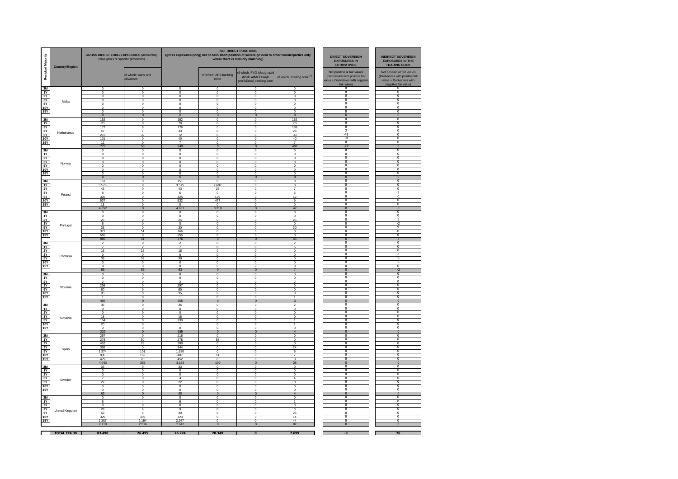| Residual Maturity        | <b>Country/Region</b> | <b>GROSS DIRECT LONG EXPOSURES (accounting</b><br>value gross of specific provisions) |                                  | <b>NET DIRECT POSITIONS</b><br>(gross exposures (long) net of cash short position of sovereign debt to other counterparties only<br><b>DIRECT SOVEREIGN</b><br>where there is maturity matching)<br><b>EXPOSURES IN</b><br><b>DERIVATIVES</b> |                                                    |                                                                                 |                                       |                                                                                                                   |                                                                                                                    |
|--------------------------|-----------------------|---------------------------------------------------------------------------------------|----------------------------------|-----------------------------------------------------------------------------------------------------------------------------------------------------------------------------------------------------------------------------------------------|----------------------------------------------------|---------------------------------------------------------------------------------|---------------------------------------|-------------------------------------------------------------------------------------------------------------------|--------------------------------------------------------------------------------------------------------------------|
|                          |                       |                                                                                       | of which: loans and<br>advances  |                                                                                                                                                                                                                                               | of which: AFS banking<br>book                      | of which: FVO (designated<br>at fair value through<br>profit&loss) banking book | of which: Trading book <sup>(3)</sup> | Net position at fair values<br>(Derivatives with positive fair<br>alue + Derivatives with negative<br>fair value) | Net position at fair values<br>(Derivatives with positive fair<br>value + Derivatives with<br>negative fair value) |
| 3M<br>1Y                 |                       | $^{\circ}$<br>$^{\circ}$                                                              | $^{\circ}$<br>$^{\circ}$         | $\theta$<br>$\theta$                                                                                                                                                                                                                          | $^{\circ}$<br>$^{\circ}$                           | $^{\circ}$<br>$^{\circ}$                                                        | $^{\circ}$<br>$\circ$                 | $\overline{0}$<br>$\overline{\mathbf{0}}$                                                                         | Ō<br>$\overline{\mathbf{0}}$                                                                                       |
| 2Y                       |                       | $^{\circ}$                                                                            | $^{\circ}$                       | $\theta$                                                                                                                                                                                                                                      | $^{\circ}$                                         | $^{\circ}$                                                                      | $^{\circ}$                            | $\overline{0}$<br>$\overline{0}$                                                                                  | $\overline{0}$<br>$\overline{0}$                                                                                   |
| 3Y<br>5Y                 | Malta                 | $^{\circ}$<br>$^{\circ}$                                                              | $^{\circ}$<br>$^{\circ}$         | $^{\circ}$<br>$\theta$                                                                                                                                                                                                                        | $^{\circ}$<br>$^{\circ}$                           | $^{\circ}$<br>$^{\circ}$                                                        | $^{\circ}$<br>$^{\circ}$              | $\overline{0}$                                                                                                    | $\overline{0}$                                                                                                     |
| 10Y                      |                       | $\overline{0}$                                                                        | $\mathbf 0$                      | $\overline{0}$                                                                                                                                                                                                                                | $\overline{0}$                                     | $\overline{0}$                                                                  | $\overline{0}$                        | $\overline{0}$                                                                                                    | $\overline{0}$                                                                                                     |
| 15Y                      |                       | $\overline{0}$<br>$\overline{0}$                                                      | $\overline{0}$<br>$\overline{0}$ | $\overline{0}$<br>$\overline{0}$                                                                                                                                                                                                              | $\overline{0}$<br>$\overline{0}$                   | $\overline{0}$<br>$\overline{0}$                                                | $\overline{0}$<br>$\overline{0}$      | $\overline{0}$<br>$\overline{0}$                                                                                  | $\overline{0}$<br>$\overline{0}$                                                                                   |
| 3M                       |                       | 152                                                                                   | $\overline{\mathbf{0}}$          | 152                                                                                                                                                                                                                                           | $\overline{\mathbf{0}}$                            | $\overline{\mathbf{0}}$                                                         | 152                                   | π                                                                                                                 | ╖                                                                                                                  |
| 1Y                       |                       | 70                                                                                    | 0                                | 70                                                                                                                                                                                                                                            | $\circ$                                            | $\mathbf 0$                                                                     | 70                                    | $\overline{0}$<br>$\overline{0}$                                                                                  | $\overline{0}$<br>$\overline{0}$                                                                                   |
| 2Y<br>3Y                 |                       | 177<br>47                                                                             | 6                                | 176<br>33                                                                                                                                                                                                                                     | $\overline{\mathbf{0}}$<br>$\overline{\mathbf{0}}$ | 0<br>$\overline{\mathbf{0}}$                                                    | 169<br>26                             | 3                                                                                                                 | $\overline{0}$                                                                                                     |
| 5Y                       | Netherlands           | 213                                                                                   | 39                               | 72                                                                                                                                                                                                                                            | $\overline{\mathbf{0}}$                            | $\overline{\mathbf{0}}$                                                         | 33                                    | $-43$                                                                                                             | $\overline{0}$                                                                                                     |
| <b>10Y</b><br><b>15Y</b> |                       | 101<br>12                                                                             | 0<br>$\Omega$                    | 40<br>$\overline{7}$                                                                                                                                                                                                                          | $\overline{\mathbf{0}}$<br>$\Omega$                | $\overline{\mathbf{0}}$<br>$\Omega$                                             | 40<br>$\overline{7}$                  | 14<br>$\overline{0}$                                                                                              | $^{\circ}$<br>$^{\circ}$                                                                                           |
|                          |                       | 773                                                                                   | 53                               | 549                                                                                                                                                                                                                                           | $\mathbf{0}$                                       | $\mathbf{0}$                                                                    | 497                                   | $-27$                                                                                                             | $\mathbf{0}$                                                                                                       |
| 3M<br><b>1Y</b>          |                       | $\mathbf{0}$<br>$\mathbf 0$                                                           | $\overline{0}$<br>$\Omega$       | $^{\circ}$<br>$\circ$                                                                                                                                                                                                                         | $^{\circ}$<br>$\Omega$                             | $\overline{0}$<br>$\Omega$                                                      | $\mathbf{0}$<br>$\Omega$              | $^{\circ}$<br>$\Omega$                                                                                            | $^{\circ}$<br>$\Omega$                                                                                             |
| 2Y                       |                       | $\Omega$                                                                              | $\circ$                          | $\circ$                                                                                                                                                                                                                                       | $\Omega$                                           | $\circ$                                                                         | $\Omega$                              | $\Omega$                                                                                                          | $\Omega$                                                                                                           |
| $rac{3Y}{5Y}$            | Norway                | $\Omega$                                                                              | $\Omega$                         | $\Omega$                                                                                                                                                                                                                                      | $\Omega$                                           | $\Omega$                                                                        | $\Omega$                              | $\overline{0}$<br>$\overline{0}$                                                                                  | $\overline{0}$<br>$\overline{0}$                                                                                   |
| 10Y                      |                       | $\Omega$<br>$\Omega$                                                                  | $\Omega$<br>$\Omega$             | $\Omega$<br>$\Omega$                                                                                                                                                                                                                          | $\Omega$<br>$\Omega$                               | $\Omega$<br>$\Omega$                                                            | $\Omega$<br>$\Omega$                  | $\overline{0}$                                                                                                    | $\overline{0}$                                                                                                     |
| <b>15Y</b>               |                       | $\Omega$                                                                              | $\Omega$                         | $\Omega$                                                                                                                                                                                                                                      | $\Omega$                                           | $\Omega$                                                                        | $\Omega$                              | O                                                                                                                 | $\overline{0}$                                                                                                     |
|                          |                       | $\mathbf{0}$<br>151                                                                   | $\mathbf{0}$<br>$\Omega$         | $\mathbf{0}$<br>151                                                                                                                                                                                                                           | $\mathbf{0}$<br>$\Omega$                           | $\mathbf{0}$<br>$\Omega$                                                        | $\Omega$<br>$\Omega$                  | $\bf{0}$<br>O                                                                                                     | $\bf{0}$                                                                                                           |
| $\frac{3M}{1Y}$          |                       | 3.576                                                                                 | $^{\circ}$                       | 3.575                                                                                                                                                                                                                                         | 2.687                                              | $^{\circ}$                                                                      | 8                                     | $\overline{\mathbf{0}}$                                                                                           | $\overline{\mathbf{0}}$                                                                                            |
| 2Y<br>3Y                 |                       | 43                                                                                    | $^{\circ}$<br>$\circ$            | 43                                                                                                                                                                                                                                            | 25                                                 | $^{\circ}$<br>$\mathbf 0$                                                       |                                       | $\overline{0}$<br>$\overline{\mathbf{0}}$                                                                         | $\overline{\mathbf{0}}$<br>ī                                                                                       |
| 5Y                       | Poland                | 8<br>325                                                                              | $^{\circ}$                       | -6<br>325                                                                                                                                                                                                                                     | $^{\circ}$<br>129                                  | $^{\circ}$                                                                      | 6<br>12                               | $\overline{0}$                                                                                                    |                                                                                                                    |
| <b>10Y</b>               |                       | 537                                                                                   | $^{\circ}$                       | 532                                                                                                                                                                                                                                           | 477                                                | $^{\circ}$                                                                      | 9                                     | $\overline{0}$<br>$\overline{0}$                                                                                  | $\overline{0}$                                                                                                     |
| 15Y                      |                       | 13<br>4.652                                                                           | $\theta$<br>$\overline{0}$       | $\circ$<br>4.631                                                                                                                                                                                                                              | $^{\circ}$<br>3.318                                | $\overline{0}$<br>$\overline{0}$                                                | $\circ$<br>42                         | $\overline{0}$                                                                                                    | $\overline{0}$<br>$-1$                                                                                             |
| 3M                       |                       | $\mathbf 0$                                                                           | $\bf{0}$                         | $\circ$                                                                                                                                                                                                                                       | $\mathbf 0$                                        | $\mathbf 0$                                                                     | $\mathbf 0$                           | $\overline{0}$                                                                                                    | $\overline{0}$                                                                                                     |
| 1Y                       |                       | $\mathbf 0$                                                                           | $\mathbf 0$                      | $\circ$                                                                                                                                                                                                                                       | $\overline{\mathbf{0}}$                            | $\mathbf 0$                                                                     | $\mathbf 0$                           | $\overline{0}$<br>$\overline{0}$                                                                                  | $\overline{\mathbf{0}}$<br>т                                                                                       |
| 2Y<br>3Y                 |                       | 25<br>5                                                                               | 0<br>0                           | 25<br>$\overline{0}$                                                                                                                                                                                                                          | $\circ$<br>$\overline{\mathbf{0}}$                 | $\mathbf 0$<br>$\overline{\mathbf{0}}$                                          | 25<br>$\mathbf 0$                     | $\overline{0}$                                                                                                    | $\overline{.}$                                                                                                     |
| 5Y                       | Portugal              | 33                                                                                    | $\overline{0}$                   | 30                                                                                                                                                                                                                                            | $\overline{\mathbf{0}}$                            | $\overline{\mathbf{0}}$                                                         | 30                                    | $\overline{0}$                                                                                                    | ٩                                                                                                                  |
| <b>10Y</b><br>15Y        |                       | 371<br>555                                                                            | 51<br>$\Omega$                   | 366<br>555                                                                                                                                                                                                                                    | $\overline{0}$<br>$\Omega$                         | $\overline{\mathbf{0}}$<br>$\overline{\mathbf{0}}$                              | $\mathbf 0$<br>$\Omega$               | $\overline{0}$<br>$\overline{0}$                                                                                  | $\overline{0}$<br>$\overline{0}$                                                                                   |
|                          |                       | 989                                                                                   | 51                               | 976                                                                                                                                                                                                                                           | $\Omega$                                           | $\mathbf 0$                                                                     | 55                                    | $\Omega$                                                                                                          | $\overline{7}$                                                                                                     |
| 3M                       |                       | $\overline{7}$                                                                        | $\Omega$<br>$\mathcal{D}$        | $\overline{7}$                                                                                                                                                                                                                                | $\Omega$<br>$\Omega$                               | $\Omega$<br>$\Omega$                                                            | $\mathcal{D}$<br>5                    | $\Omega$<br>$\Omega$                                                                                              | $\Omega$<br>$\Omega$                                                                                               |
| 1Y<br><b>2Y</b>          |                       | 15                                                                                    | 15                               | 15                                                                                                                                                                                                                                            | $\Omega$                                           | $\Omega$                                                                        | $\Omega$                              | $\Omega$                                                                                                          | $\Omega$                                                                                                           |
| 3Y                       | Romania               | $\Omega$                                                                              | $\Omega$                         | $\circ$                                                                                                                                                                                                                                       | $\Omega$                                           | $\Omega$                                                                        | $\Omega$                              | $\Omega$                                                                                                          | $-1$                                                                                                               |
| 5Y<br><b>10Y</b>         |                       | 39<br>$\Omega$                                                                        | 39<br>$\Omega$                   | 39<br>$\Omega$                                                                                                                                                                                                                                | $\Omega$<br>$\Omega$                               | $\Omega$<br>$\Omega$                                                            | $\Omega$<br>$\Omega$                  | $\overline{0}$<br>$\overline{0}$                                                                                  | -1<br>-1                                                                                                           |
| <b>15Y</b>               |                       | $\Omega$                                                                              | $\Omega$                         | $\Omega$                                                                                                                                                                                                                                      | $\Omega$                                           | $\Omega$                                                                        | $\Omega$                              | $\overline{\mathbf{0}}$                                                                                           | $\overline{0}$                                                                                                     |
| 3M                       |                       | 63<br>$\Omega$                                                                        | 56<br>$\Omega$                   | 63<br>$\Omega$                                                                                                                                                                                                                                | $\mathbf{0}$<br>$\Omega$                           | $\overline{0}$<br>$\Omega$                                                      | $\overline{7}$<br>$\Omega$            | $\overline{0}$<br>$\mathbf 0$                                                                                     | $-2$<br>$^{\circ}$                                                                                                 |
| $\frac{1Y}{2Y}$          |                       | $\mathbf 0$                                                                           | $\Omega$                         | $\circ$                                                                                                                                                                                                                                       | $\Omega$                                           | $\Omega$                                                                        | $\Omega$                              | Ō                                                                                                                 | Ō                                                                                                                  |
|                          |                       | $\overline{2}$                                                                        | $^{\circ}$                       | $\overline{2}$                                                                                                                                                                                                                                | $^{\circ}$                                         | $^{\circ}$                                                                      | $\overline{2}$                        | $\overline{0}$<br>$\overline{0}$                                                                                  | 0<br>$\overline{0}$                                                                                                |
| 3Y<br>5Y                 | Slovakia              | 298<br>60                                                                             | $^{\circ}$<br>$\mathbf 0$        | 297<br>60                                                                                                                                                                                                                                     | $^{\circ}$<br>$^{\circ}$                           | $^{\circ}$<br>$^{\circ}$                                                        | $\mathbf{0}$<br>$\mathbf{0}$          | $\overline{\mathbf{0}}$                                                                                           | $\overline{\mathbf{0}}$                                                                                            |
| <b>10Y</b>               |                       | 95                                                                                    | $^{\circ}$                       | 95                                                                                                                                                                                                                                            | $^{\circ}$                                         | $^{\circ}$                                                                      | $^{\circ}$                            | $\overline{\mathbf{0}}$                                                                                           | $\overline{0}$                                                                                                     |
| 15Y                      |                       | $\mathbf{1}$<br>455                                                                   | $^{\circ}$<br>$\bf{0}$           | $\overline{1}$<br>455                                                                                                                                                                                                                         | $^{\circ}$<br>$\mathbf{0}$                         | $^{\circ}$<br>$\mathbf{0}$                                                      | -1<br>3                               | $\overline{\mathbf{0}}$<br>$\mathbf 0$                                                                            | 0<br>$\bf{0}$                                                                                                      |
| 3M                       |                       | 36                                                                                    | $\mathbf 0$                      | 36                                                                                                                                                                                                                                            | $^{\circ}$                                         | $\circ$                                                                         | 2                                     | 0                                                                                                                 | 0                                                                                                                  |
| 1Y                       |                       | $\circ$                                                                               | 0                                | $\circ$                                                                                                                                                                                                                                       | $\mathbf 0$                                        | $\circ$                                                                         | $\mathbf 0$                           | $\overline{\mathbf{0}}$<br>$\overline{\mathbf{0}}$                                                                | O<br>$\overline{\mathbf{0}}$                                                                                       |
| 2Y<br>3Y                 | Slovenia              | 0<br>18                                                                               | 0<br>$^{\circ}$                  | $\circ$<br>18                                                                                                                                                                                                                                 | $\circ$<br>$^{\circ}$                              | $\circ$<br>$\circ$                                                              | $\mathbf 0$<br>$^{\circ}$             | $\overline{0}$                                                                                                    | $\overline{0}$                                                                                                     |
| 5Y                       |                       | 154                                                                                   | $^{\circ}$                       | 130                                                                                                                                                                                                                                           | $^{\circ}$                                         | $\circ$                                                                         |                                       | $\overline{0}$<br>$\overline{0}$                                                                                  | $\overline{0}$<br>$\overline{0}$                                                                                   |
| <b>10Y</b><br>15Y        |                       | 20<br>$\mathbf 0$                                                                     | $\theta$<br>$\circ$              | $\Omega$                                                                                                                                                                                                                                      | $\circ$<br>$\circ$                                 | $\circ$<br>$\overline{\mathbf{0}}$                                              | $\overline{1}$<br>$\overline{0}$      | $\overline{0}$                                                                                                    | $\overline{0}$                                                                                                     |
|                          |                       | 229                                                                                   | $\overline{\mathbf{0}}$          | 185                                                                                                                                                                                                                                           | $\overline{0}$                                     | $\overline{0}$                                                                  | $\overline{4}$                        | $\overline{0}$                                                                                                    | $\overline{0}$                                                                                                     |
| 3M<br>1Y                 |                       | 257<br>278                                                                            | $\mathbf 0$<br>50                | 216<br>278                                                                                                                                                                                                                                    | $\mathsf{o}$<br>58                                 | $\overline{\mathbf{0}}$<br>0                                                    | $\mathbf 0$<br>0                      | $\overline{0}$<br>$\overline{0}$                                                                                  | $\overline{0}$<br>$\overline{0}$                                                                                   |
| 2Y                       |                       | 453                                                                                   | 28                               | 289                                                                                                                                                                                                                                           | $\overline{\mathbf{0}}$                            | 0                                                                               | $\mathbf 0$                           | $\overline{0}$                                                                                                    | $\overline{0}$                                                                                                     |
| 3Y<br>5Y                 | Spain                 | 368<br>1.374                                                                          | $\theta$<br>101                  | 344<br>1.180                                                                                                                                                                                                                                  | $\overline{0}$<br>$\overline{\mathbf{0}}$          | $\overline{0}$<br>0                                                             | 24<br>6                               | $\overline{0}$<br>$\overline{0}$                                                                                  | $\overline{0}$<br>$\overline{0}$                                                                                   |
| <b>10Y</b>               |                       | 835                                                                                   | 158                              | 407                                                                                                                                                                                                                                           | 51                                                 | $\overline{0}$                                                                  |                                       | 0                                                                                                                 | 0                                                                                                                  |
| <b>15Y</b>               |                       | 479                                                                                   | $\frac{20}{356}$                 | 452<br>3.165                                                                                                                                                                                                                                  | $\circ$<br>109                                     | $\Omega$                                                                        | $\Omega$                              | $^{\circ}$                                                                                                        | $^{\circ}$                                                                                                         |
| 3M                       |                       | 4.043<br>33                                                                           | $\circ$                          | 33                                                                                                                                                                                                                                            | $^{\circ}$                                         | $\mathbf{0}$<br>$\overline{0}$                                                  | 38<br>$\circ$                         | $\mathbf{0}$<br>$^{\circ}$                                                                                        | $\mathbf{0}$<br>$^{\circ}$                                                                                         |
| 1Y                       |                       | $\Omega$                                                                              | $\Omega$                         | $\circ$                                                                                                                                                                                                                                       | $\Omega$                                           | $\Omega$                                                                        | $\Omega$                              | $^{\circ}$                                                                                                        | $^{\circ}$                                                                                                         |
| 2Y                       |                       | $\mathbf 0$<br>$\overline{7}$                                                         | $\circ$<br>$\circ$               | $\circ$<br>$\overline{4}$                                                                                                                                                                                                                     | $\Omega$<br>$\circ$                                | $\Omega$<br>$\Omega$                                                            | $\Omega$<br>$\overline{4}$            | O<br>$\overline{\mathbf{0}}$                                                                                      | $\Omega$<br>$\overline{\mathbf{0}}$                                                                                |
| $rac{3Y}{5Y}$            | Sweden                | 22                                                                                    | $\Omega$                         | 22                                                                                                                                                                                                                                            | $\Omega$                                           | $\Omega$                                                                        | $\Omega$                              | $\overline{0}$                                                                                                    | $\overline{0}$                                                                                                     |
| <b>10Y</b>               |                       | $\Omega$                                                                              | $\Omega$                         | $\Omega$                                                                                                                                                                                                                                      | $\Omega$                                           | $\Omega$                                                                        | $\Omega$                              | $\overline{0}$<br>O                                                                                               | $\overline{\mathbf{0}}$<br>$\overline{0}$                                                                          |
| <b>15Y</b>               |                       | $\Omega$<br>63                                                                        | $\Omega$<br>$\mathbf{0}$         | $\Omega$<br>60                                                                                                                                                                                                                                | $\Omega$<br>$\mathbf{0}$                           | $\Omega$<br>$\mathbf{0}$                                                        | $\Omega$<br>$\overline{4}$            | $\mathbf{0}$                                                                                                      | $\mathbf{0}$                                                                                                       |
| $\frac{3M}{1Y}$          |                       | $\Omega$                                                                              | $\Omega$                         | $\Omega$                                                                                                                                                                                                                                      | $\Omega$                                           | $\Omega$                                                                        | $\Omega$                              | O                                                                                                                 | O                                                                                                                  |
| 2Y                       |                       | -5<br>8                                                                               | $\overline{4}$<br>8              | -5<br>-8                                                                                                                                                                                                                                      | $^{\circ}$<br>$^{\circ}$                           | $^{\circ}$<br>$^{\circ}$                                                        | -1<br>$\overline{0}$                  | $\overline{\mathbf{0}}$<br>$\overline{\mathbf{0}}$                                                                | $\overline{\mathbf{0}}$<br>$\overline{\mathbf{0}}$                                                                 |
| 3Y                       | United Kingdom        | 28                                                                                    | 6                                | -9                                                                                                                                                                                                                                            | $^{\circ}$                                         | $^{\circ}$                                                                      | 3                                     | $\overline{\mathbf{0}}$                                                                                           | $\overline{\mathbf{0}}$                                                                                            |
| 5Y<br><b>10Y</b>         |                       | 53<br>329                                                                             | 5<br>309                         | 30<br>323                                                                                                                                                                                                                                     | $^{\circ}$<br>$\theta$                             | $^{\circ}$<br>$\circ$                                                           | 25<br>14                              | $\overline{0}$<br>$\overline{0}$                                                                                  | $\overline{0}$<br>$\overline{0}$                                                                                   |
| <b>15Y</b>               |                       | .28                                                                                   | 2.184                            | 226                                                                                                                                                                                                                                           |                                                    | $\overline{0}$                                                                  | 44                                    | $\overline{0}$                                                                                                    | $\overline{0}$                                                                                                     |
|                          |                       | 2.710                                                                                 | 2.516                            | 2.642                                                                                                                                                                                                                                         | $\overline{\mathbf{0}}$                            | $\overline{\mathbf{0}}$                                                         | 87                                    | $\overline{0}$                                                                                                    | $\overline{0}$                                                                                                     |
|                          | TOTAL EEA 30          | 83.490                                                                                | 26.495                           | 76.274                                                                                                                                                                                                                                        | 20.349                                             | $\sqrt{2}$                                                                      | 7.699                                 | $\overline{a}$                                                                                                    | 26                                                                                                                 |